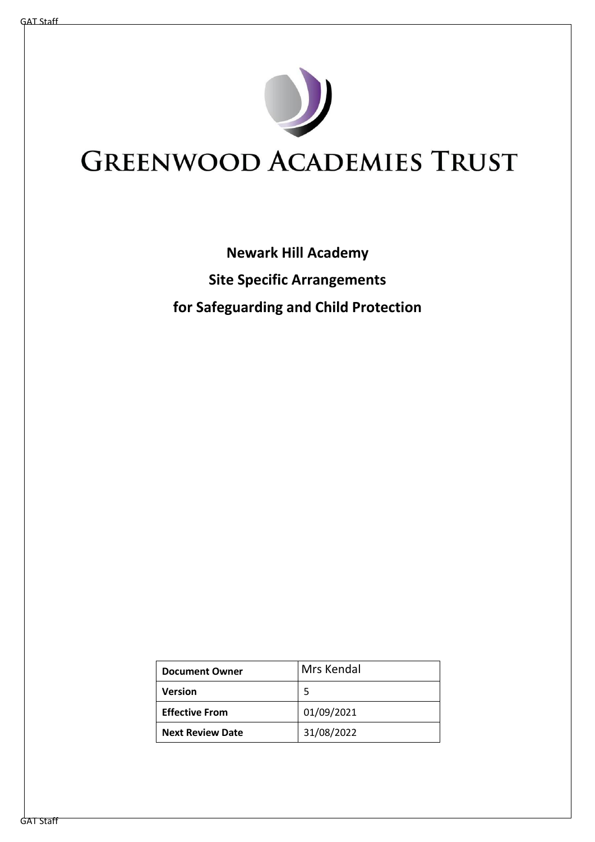

# **GREENWOOD ACADEMIES TRUST**

## **Newark Hill Academy Site Specific Arrangements for Safeguarding and Child Protection**

| <b>Document Owner</b>   | Mrs Kendal |
|-------------------------|------------|
| Version                 |            |
| <b>Effective From</b>   | 01/09/2021 |
| <b>Next Review Date</b> | 31/08/2022 |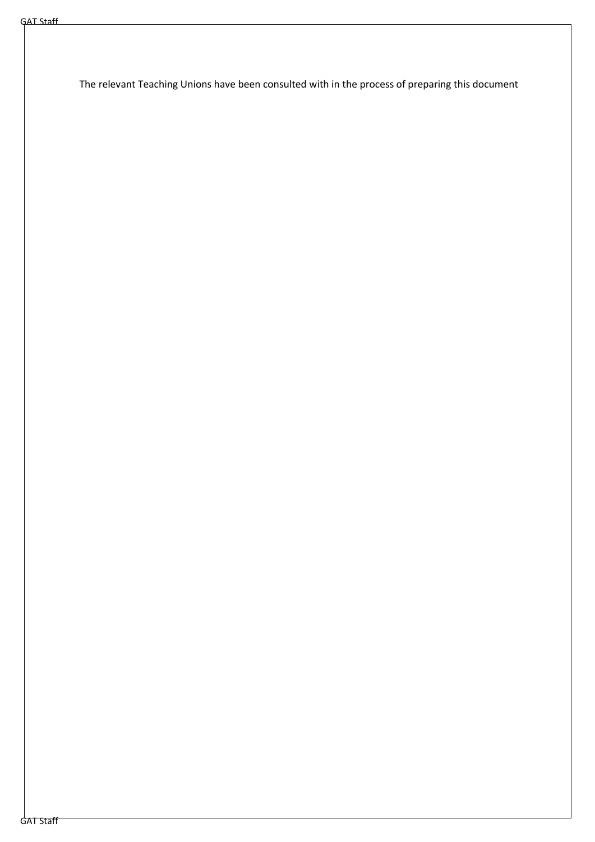The relevant Teaching Unions have been consulted with in the process of preparing this document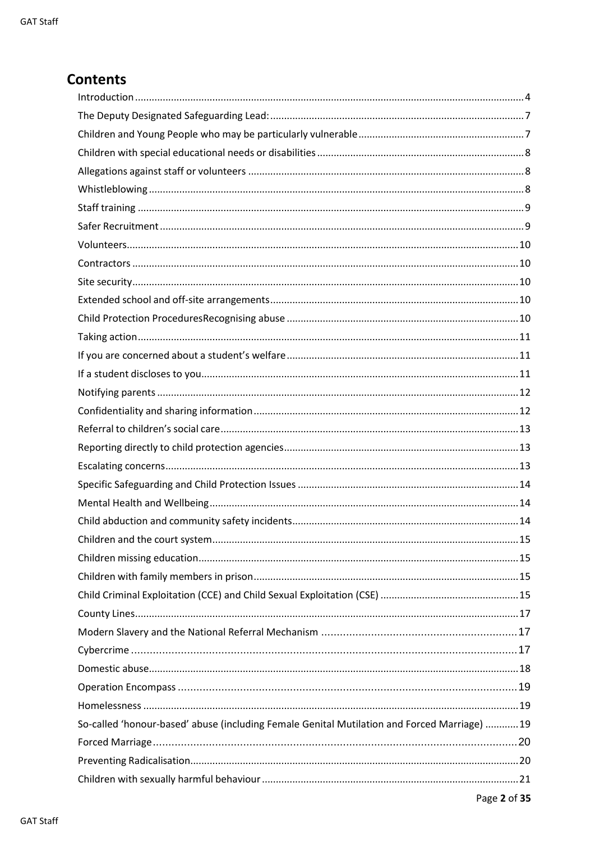## **Contents**

| So-called 'honour-based' abuse (including Female Genital Mutilation and Forced Marriage)  19 |
|----------------------------------------------------------------------------------------------|
|                                                                                              |
|                                                                                              |
|                                                                                              |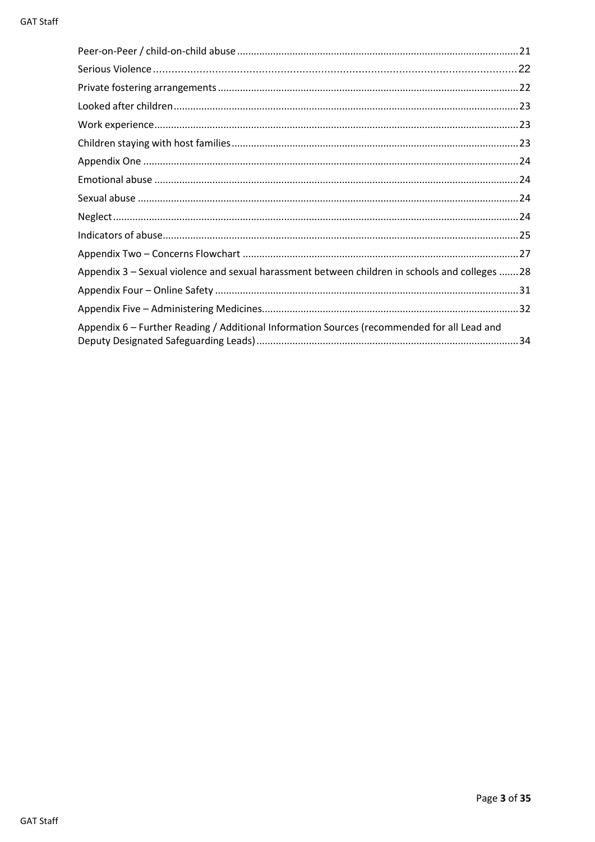| Appendix 3 – Sexual violence and sexual harassment between children in schools and colleges  28 |
|-------------------------------------------------------------------------------------------------|
|                                                                                                 |
|                                                                                                 |
| Appendix 6 - Further Reading / Additional Information Sources (recommended for all Lead and     |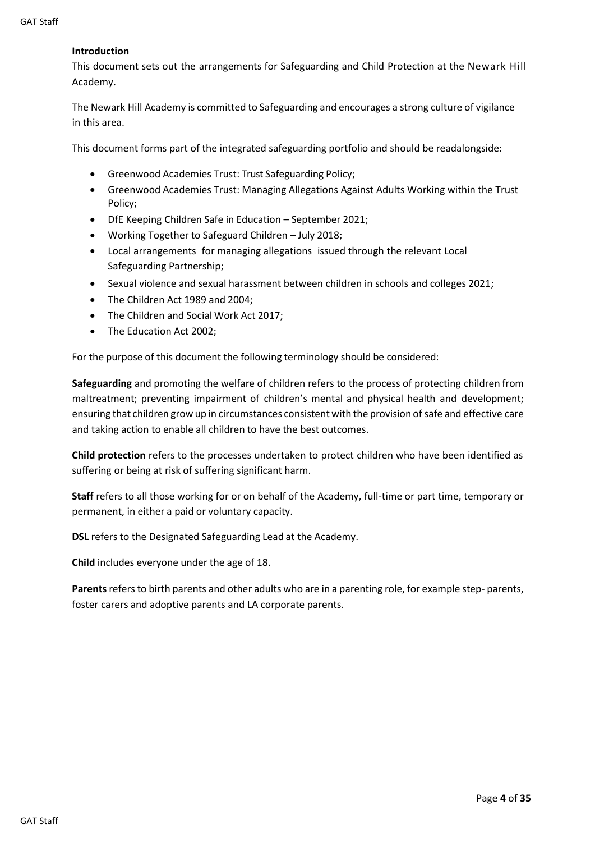#### <span id="page-4-0"></span>**Introduction**

This document sets out the arrangements for Safeguarding and Child Protection at the Newark Hill Academy.

The Newark Hill Academy is committed to Safeguarding and encourages a strong culture of vigilance in this area.

This document forms part of the integrated safeguarding portfolio and should be readalongside:

- Greenwood Academies Trust: Trust Safeguarding Policy;
- Greenwood Academies Trust: Managing Allegations Against Adults Working within the Trust Policy;
- DfE Keeping Children Safe in Education September 2021;
- Working Together to Safeguard Children July 2018;
- Local arrangements for managing allegations issued through the relevant Local Safeguarding Partnership;
- Sexual violence and sexual harassment between children in schools and colleges 2021;
- The Children Act 1989 and 2004;
- The Children and Social Work Act 2017;
- The Education Act 2002:

For the purpose of this document the following terminology should be considered:

**Safeguarding** and promoting the welfare of children refers to the process of protecting children from maltreatment; preventing impairment of children's mental and physical health and development; ensuring that children grow up in circumstances consistent with the provision of safe and effective care and taking action to enable all children to have the best outcomes.

**Child protection** refers to the processes undertaken to protect children who have been identified as suffering or being at risk of suffering significant harm.

**Staff** refers to all those working for or on behalf of the Academy, full-time or part time, temporary or permanent, in either a paid or voluntary capacity.

**DSL** refers to the Designated Safeguarding Lead at the Academy.

**Child** includes everyone under the age of 18.

**Parents**refers to birth parents and other adults who are in a parenting role, for example step- parents, foster carers and adoptive parents and LA corporate parents.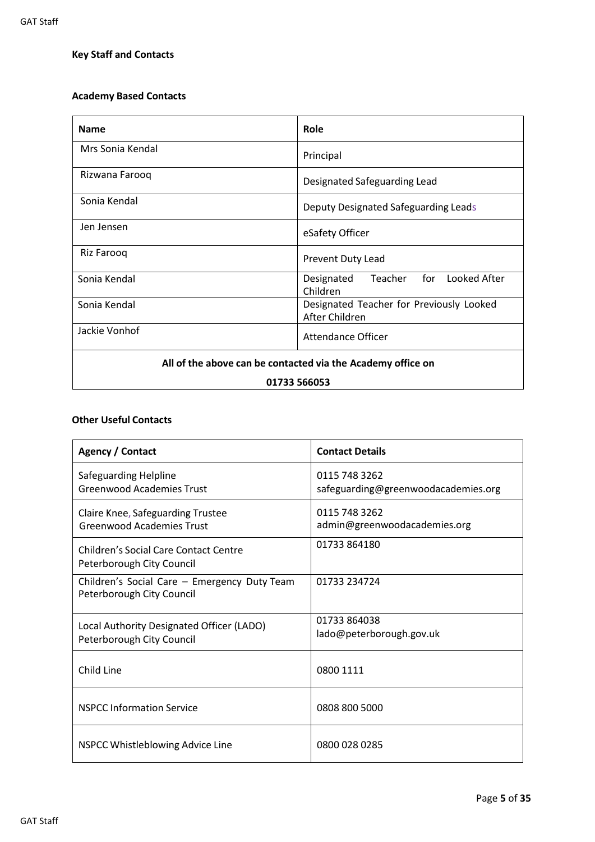## **Key Staff and Contacts**

### **Academy Based Contacts**

| <b>Name</b>                                                 | Role                                                       |  |
|-------------------------------------------------------------|------------------------------------------------------------|--|
| Mrs Sonia Kendal                                            | Principal                                                  |  |
| Rizwana Farooq                                              | Designated Safeguarding Lead                               |  |
| Sonia Kendal                                                | Deputy Designated Safeguarding Leads                       |  |
| Jen Jensen                                                  | eSafety Officer                                            |  |
| Riz Farooq                                                  | Prevent Duty Lead                                          |  |
| Sonia Kendal                                                | Teacher for Looked After<br>Designated<br>Children         |  |
| Sonia Kendal                                                | Designated Teacher for Previously Looked<br>After Children |  |
| Jackie Vonhof                                               | Attendance Officer                                         |  |
| All of the above can be contacted via the Academy office on |                                                            |  |
| 01733 566053                                                |                                                            |  |

#### **Other Useful Contacts**

| Agency / Contact                                                          | <b>Contact Details</b>                               |
|---------------------------------------------------------------------------|------------------------------------------------------|
| Safeguarding Helpline<br><b>Greenwood Academies Trust</b>                 | 0115 748 3262<br>safeguarding@greenwoodacademies.org |
| Claire Knee, Safeguarding Trustee<br><b>Greenwood Academies Trust</b>     | 0115 748 3262<br>admin@greenwoodacademies.org        |
| <b>Children's Social Care Contact Centre</b><br>Peterborough City Council | 01733 864180                                         |
| Children's Social Care - Emergency Duty Team<br>Peterborough City Council | 01733 234724                                         |
| Local Authority Designated Officer (LADO)<br>Peterborough City Council    | 01733 864038<br>lado@peterborough.gov.uk             |
| Child Line                                                                | 0800 1111                                            |
| <b>NSPCC Information Service</b>                                          | 0808 800 5000                                        |
| NSPCC Whistleblowing Advice Line                                          | 0800 028 0285                                        |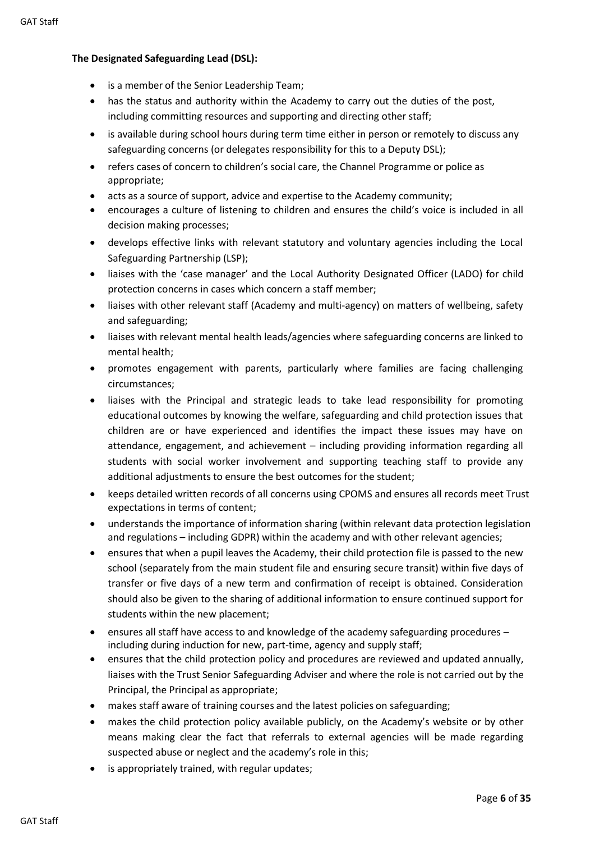#### **The Designated Safeguarding Lead (DSL):**

- is a member of the Senior Leadership Team;
- has the status and authority within the Academy to carry out the duties of the post, including committing resources and supporting and directing other staff;
- is available during school hours during term time either in person or remotely to discuss any safeguarding concerns (or delegates responsibility for this to a Deputy DSL);
- refers cases of concern to children's social care, the Channel Programme or police as appropriate;
- acts as a source of support, advice and expertise to the Academy community;
- encourages a culture of listening to children and ensures the child's voice is included in all decision making processes;
- develops effective links with relevant statutory and voluntary agencies including the Local Safeguarding Partnership (LSP);
- liaises with the 'case manager' and the Local Authority Designated Officer (LADO) for child protection concerns in cases which concern a staff member;
- liaises with other relevant staff (Academy and multi-agency) on matters of wellbeing, safety and safeguarding;
- liaises with relevant mental health leads/agencies where safeguarding concerns are linked to mental health;
- promotes engagement with parents, particularly where families are facing challenging circumstances;
- liaises with the Principal and strategic leads to take lead responsibility for promoting educational outcomes by knowing the welfare, safeguarding and child protection issues that children are or have experienced and identifies the impact these issues may have on attendance, engagement, and achievement – including providing information regarding all students with social worker involvement and supporting teaching staff to provide any additional adjustments to ensure the best outcomes for the student;
- keeps detailed written records of all concerns using CPOMS and ensures all records meet Trust expectations in terms of content;
- understands the importance of information sharing (within relevant data protection legislation and regulations – including GDPR) within the academy and with other relevant agencies;
- ensures that when a pupil leaves the Academy, their child protection file is passed to the new school (separately from the main student file and ensuring secure transit) within five days of transfer or five days of a new term and confirmation of receipt is obtained. Consideration should also be given to the sharing of additional information to ensure continued support for students within the new placement;
- ensures all staff have access to and knowledge of the academy safeguarding procedures including during induction for new, part-time, agency and supply staff;
- ensures that the child protection policy and procedures are reviewed and updated annually, liaises with the Trust Senior Safeguarding Adviser and where the role is not carried out by the Principal, the Principal as appropriate;
- makes staff aware of training courses and the latest policies on safeguarding;
- makes the child protection policy available publicly, on the Academy's website or by other means making clear the fact that referrals to external agencies will be made regarding suspected abuse or neglect and the academy's role in this;
- is appropriately trained, with regular updates;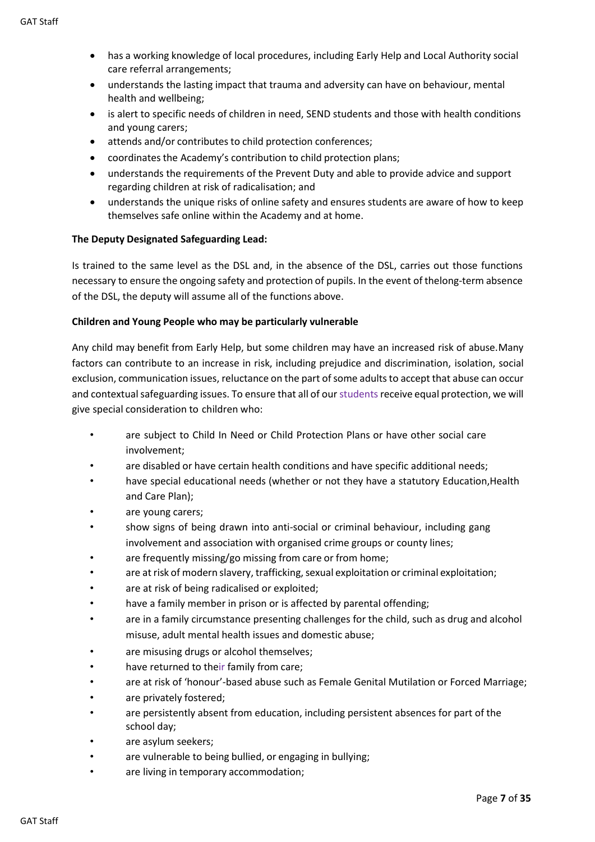- has a working knowledge of local procedures, including Early Help and Local Authority social care referral arrangements;
- understands the lasting impact that trauma and adversity can have on behaviour, mental health and wellbeing;
- is alert to specific needs of children in need, SEND students and those with health conditions and young carers;
- attends and/or contributes to child protection conferences;
- coordinates the Academy's contribution to child protection plans;
- understands the requirements of the Prevent Duty and able to provide advice and support regarding children at risk of radicalisation; and
- understands the unique risks of online safety and ensures students are aware of how to keep themselves safe online within the Academy and at home.

#### <span id="page-7-0"></span>**The Deputy Designated Safeguarding Lead:**

Is trained to the same level as the DSL and, in the absence of the DSL, carries out those functions necessary to ensure the ongoing safety and protection of pupils. In the event of thelong-term absence of the DSL, the deputy will assume all of the functions above.

#### <span id="page-7-1"></span>**Children and Young People who may be particularly vulnerable**

Any child may benefit from Early Help, but some children may have an increased risk of abuse.Many factors can contribute to an increase in risk, including prejudice and discrimination, isolation, social exclusion, communication issues, reluctance on the part of some adults to accept that abuse can occur and contextual safeguarding issues. To ensure that all of our students receive equal protection, we will give special consideration to children who:

- are subject to Child In Need or Child Protection Plans or have other social care involvement;
- are disabled or have certain health conditions and have specific additional needs;
- have special educational needs (whether or not they have a statutory Education, Health and Care Plan);
- are young carers;
- show signs of being drawn into anti-social or criminal behaviour, including gang involvement and association with organised crime groups or county lines;
- are frequently missing/go missing from care or from home;
- are at risk of modern slavery, trafficking, sexual exploitation or criminal exploitation;
- are at risk of being radicalised or exploited;
- have a family member in prison or is affected by parental offending;
- are in a family circumstance presenting challenges for the child, such as drug and alcohol misuse, adult mental health issues and domestic abuse;
- are misusing drugs or alcohol themselves;
- have returned to their family from care;
- are at risk of 'honour'-based abuse such as Female Genital Mutilation or Forced Marriage;
- are privately fostered;
- are persistently absent from education, including persistent absences for part of the school day;
- are asylum seekers;
- are vulnerable to being bullied, or engaging in bullying;
- are living in temporary accommodation;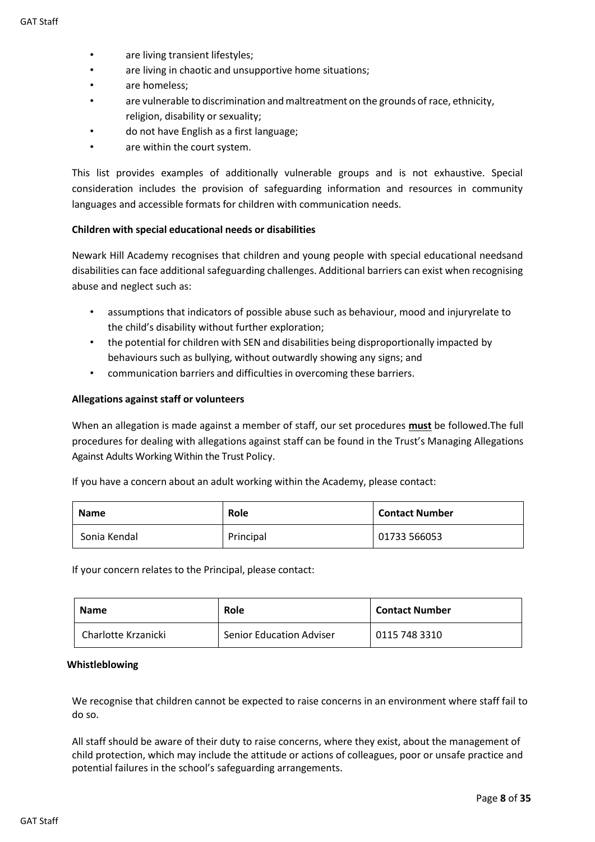- are living transient lifestyles;
- are living in chaotic and unsupportive home situations;
- are homeless;
- are vulnerable to discrimination and maltreatment on the grounds of race, ethnicity, religion, disability or sexuality;
- do not have English as a first language;
- are within the court system.

This list provides examples of additionally vulnerable groups and is not exhaustive. Special consideration includes the provision of safeguarding information and resources in community languages and accessible formats for children with communication needs.

#### <span id="page-8-0"></span>**Children with special educational needs or disabilities**

Newark Hill Academy recognises that children and young people with special educational needsand disabilities can face additional safeguarding challenges. Additional barriers can exist when recognising abuse and neglect such as:

- assumptions that indicators of possible abuse such as behaviour, mood and injuryrelate to the child's disability without further exploration;
- the potential for children with SEN and disabilities being disproportionally impacted by behaviours such as bullying, without outwardly showing any signs; and
- communication barriers and difficulties in overcoming these barriers.

#### <span id="page-8-1"></span>**Allegations against staff or volunteers**

When an allegation is made against a member of staff, our set procedures **must** be followed.The full procedures for dealing with allegations against staff can be found in the Trust's Managing Allegations Against Adults Working Within the Trust Policy.

If you have a concern about an adult working within the Academy, please contact:

| <b>Name</b>  | <b>Role</b> | <b>Contact Number</b> |
|--------------|-------------|-----------------------|
| Sonia Kendal | Principal   | 01733 566053          |

If your concern relates to the Principal, please contact:

| <b>Name</b>         | Role                            | <b>Contact Number</b> |
|---------------------|---------------------------------|-----------------------|
| Charlotte Krzanicki | <b>Senior Education Adviser</b> | 0115 748 3310         |

#### <span id="page-8-2"></span>**Whistleblowing**

We recognise that children cannot be expected to raise concerns in an environment where staff fail to do so.

All staff should be aware of their duty to raise concerns, where they exist, about the management of child protection, which may include the attitude or actions of colleagues, poor or unsafe practice and potential failures in the school's safeguarding arrangements.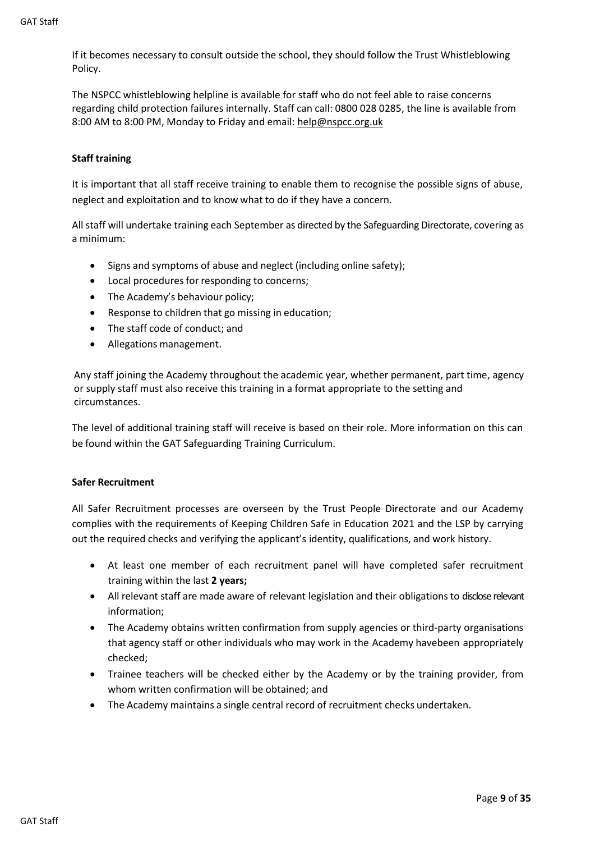If it becomes necessary to consult outside the school, they should follow the Trust Whistleblowing Policy.

The NSPCC whistleblowing helpline is available for staff who do not feel able to raise concerns regarding child protection failures internally. Staff can call: 0800 028 0285, the line is available from 8:00 AM to 8:00 PM, Monday to Friday and email[: help@nspcc.org.uk](mailto:help@nspcc.org.uk)

#### <span id="page-9-0"></span>**Staff training**

It is important that all staff receive training to enable them to recognise the possible signs of abuse, neglect and exploitation and to know what to do if they have a concern.

All staff will undertake training each September as directed by the Safeguarding Directorate, covering as a minimum:

- Signs and symptoms of abuse and neglect (including online safety);
- Local procedures for responding to concerns;
- The Academy's behaviour policy;
- Response to children that go missing in education;
- The staff code of conduct; and
- Allegations management.

Any staff joining the Academy throughout the academic year, whether permanent, part time, agency or supply staff must also receive this training in a format appropriate to the setting and circumstances.

The level of additional training staff will receive is based on their role. More information on this can be found within the GAT Safeguarding Training Curriculum.

#### <span id="page-9-1"></span>**Safer Recruitment**

All Safer Recruitment processes are overseen by the Trust People Directorate and our Academy complies with the requirements of Keeping Children Safe in Education 2021 and the LSP by carrying out the required checks and verifying the applicant's identity, qualifications, and work history.

- At least one member of each recruitment panel will have completed safer recruitment training within the last **2 years;**
- All relevant staff are made aware of relevant legislation and their obligations to disclose relevant information;
- The Academy obtains written confirmation from supply agencies or third-party organisations that agency staff or other individuals who may work in the Academy havebeen appropriately checked;
- Trainee teachers will be checked either by the Academy or by the training provider, from whom written confirmation will be obtained; and
- <span id="page-9-2"></span>• The Academy maintains a single central record of recruitment checks undertaken.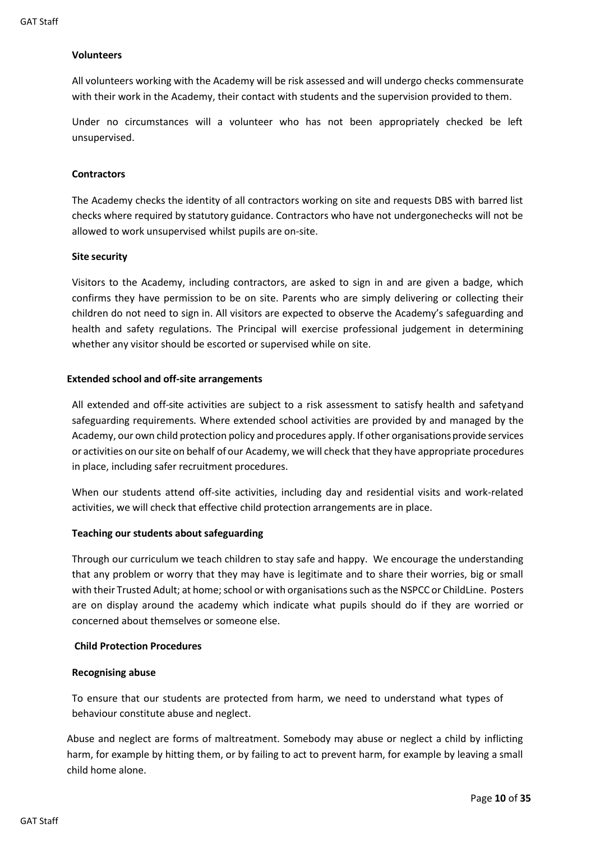#### **Volunteers**

All volunteers working with the Academy will be risk assessed and will undergo checks commensurate with their work in the Academy, their contact with students and the supervision provided to them.

Under no circumstances will a volunteer who has not been appropriately checked be left unsupervised.

#### <span id="page-10-0"></span>**Contractors**

The Academy checks the identity of all contractors working on site and requests DBS with barred list checks where required by statutory guidance. Contractors who have not undergonechecks will not be allowed to work unsupervised whilst pupils are on-site.

#### <span id="page-10-1"></span>**Site security**

Visitors to the Academy, including contractors, are asked to sign in and are given a badge, which confirms they have permission to be on site. Parents who are simply delivering or collecting their children do not need to sign in. All visitors are expected to observe the Academy's safeguarding and health and safety regulations. The Principal will exercise professional judgement in determining whether any visitor should be escorted or supervised while on site.

#### <span id="page-10-2"></span>**Extended school and off-site arrangements**

All extended and off-site activities are subject to a risk assessment to satisfy health and safetyand safeguarding requirements. Where extended school activities are provided by and managed by the Academy, our own child protection policy and procedures apply. If other organisations provide services or activities on oursite on behalf of our Academy, we will check that they have appropriate procedures in place, including safer recruitment procedures.

When our students attend off-site activities, including day and residential visits and work-related activities, we will check that effective child protection arrangements are in place.

#### **Teaching our students about safeguarding**

Through our curriculum we teach children to stay safe and happy. We encourage the understanding that any problem or worry that they may have is legitimate and to share their worries, big or small with their Trusted Adult; at home; school or with organisations such asthe NSPCC or ChildLine. Posters are on display around the academy which indicate what pupils should do if they are worried or concerned about themselves or someone else.

#### <span id="page-10-3"></span>**Child Protection Procedures**

#### **Recognising abuse**

To ensure that our students are protected from harm, we need to understand what types of behaviour constitute abuse and neglect.

Abuse and neglect are forms of maltreatment. Somebody may abuse or neglect a child by inflicting harm, for example by hitting them, or by failing to act to prevent harm, for example by leaving a small child home alone.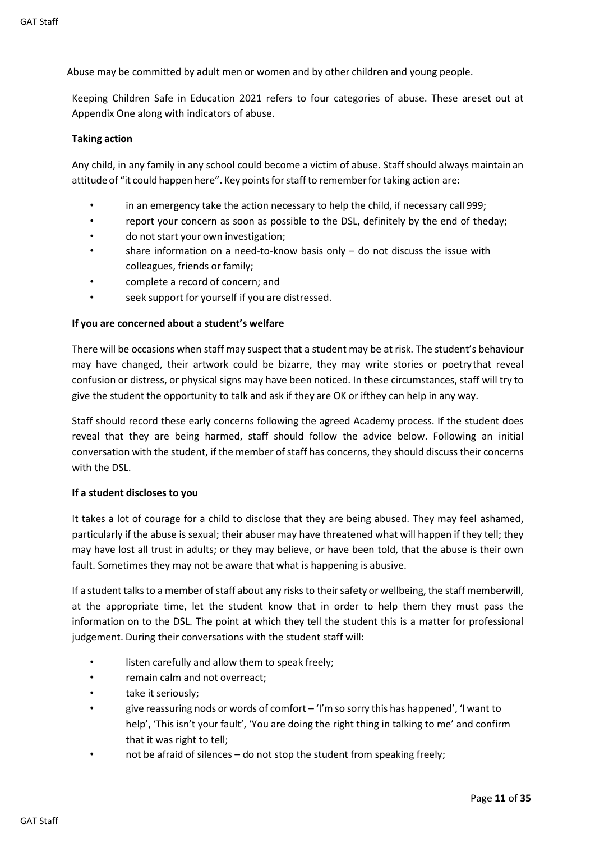Abuse may be committed by adult men or women and by other children and young people.

Keeping Children Safe in Education 2021 refers to four categories of abuse. These areset out at Appendix One along with indicators of abuse.

#### <span id="page-11-0"></span>**Taking action**

Any child, in any family in any school could become a victim of abuse. Staff should always maintain an attitude of "it could happen here". Key pointsforstaffto rememberfortaking action are:

- in an emergency take the action necessary to help the child, if necessary call 999;
- report your concern as soon as possible to the DSL, definitely by the end of theday;
- do not start your own investigation;
- share information on a need-to-know basis only  $-$  do not discuss the issue with colleagues, friends or family;
- complete a record of concern; and
- seek support for yourself if you are distressed.

#### <span id="page-11-1"></span>**If you are concerned about a student's welfare**

There will be occasions when staff may suspect that a student may be at risk. The student's behaviour may have changed, their artwork could be bizarre, they may write stories or poetrythat reveal confusion or distress, or physical signs may have been noticed. In these circumstances, staff will try to give the student the opportunity to talk and ask if they are OK or ifthey can help in any way.

Staff should record these early concerns following the agreed Academy process. If the student does reveal that they are being harmed, staff should follow the advice below. Following an initial conversation with the student, if the member of staff has concerns, they should discuss their concerns with the DSL.

#### <span id="page-11-2"></span>**If a student discloses to you**

It takes a lot of courage for a child to disclose that they are being abused. They may feel ashamed, particularly if the abuse is sexual; their abuser may have threatened what will happen if they tell; they may have lost all trust in adults; or they may believe, or have been told, that the abuse is their own fault. Sometimes they may not be aware that what is happening is abusive.

If a student talks to a member of staff about any risks to their safety or wellbeing, the staff memberwill, at the appropriate time, let the student know that in order to help them they must pass the information on to the DSL. The point at which they tell the student this is a matter for professional judgement. During their conversations with the student staff will:

- listen carefully and allow them to speak freely;
- remain calm and not overreact;
- take it seriously;
- give reassuring nods or words of comfort 'I'm so sorry this has happened', 'I want to help', 'This isn't your fault', 'You are doing the right thing in talking to me' and confirm that it was right to tell;
- not be afraid of silences do not stop the student from speaking freely;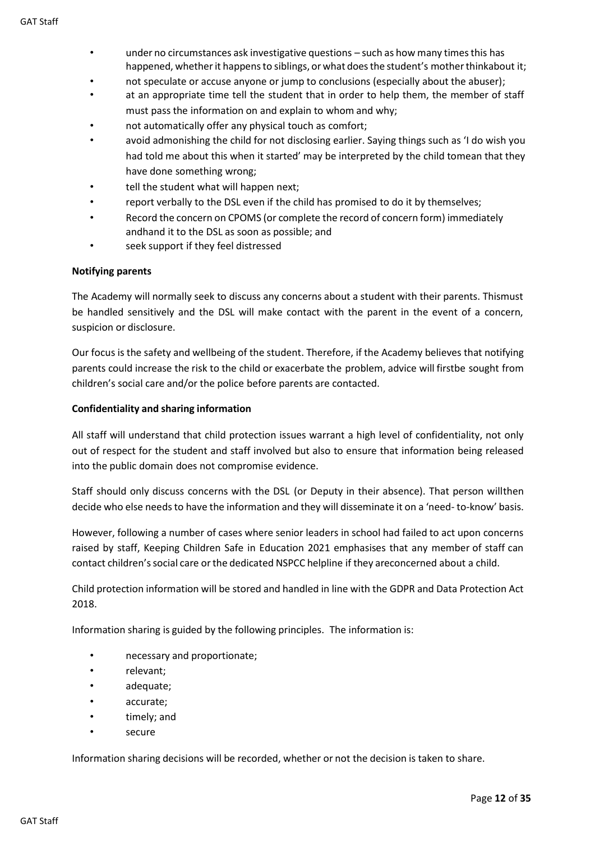- under no circumstances ask investigative questions such as how many timesthis has happened, whether it happens to siblings, or what does the student's mother thinkabout it;
- not speculate or accuse anyone or jump to conclusions (especially about the abuser);
- at an appropriate time tell the student that in order to help them, the member of staff must pass the information on and explain to whom and why;
- not automatically offer any physical touch as comfort;
- avoid admonishing the child for not disclosing earlier. Saying things such as 'I do wish you had told me about this when it started' may be interpreted by the child tomean that they have done something wrong;
- tell the student what will happen next;
- report verbally to the DSL even if the child has promised to do it by themselves;
- Record the concern on CPOMS (or complete the record of concern form) immediately andhand it to the DSL as soon as possible; and
- seek support if they feel distressed

#### <span id="page-12-0"></span>**Notifying parents**

The Academy will normally seek to discuss any concerns about a student with their parents. Thismust be handled sensitively and the DSL will make contact with the parent in the event of a concern, suspicion or disclosure.

Our focus is the safety and wellbeing of the student. Therefore, if the Academy believes that notifying parents could increase the risk to the child or exacerbate the problem, advice will firstbe sought from children's social care and/or the police before parents are contacted.

#### <span id="page-12-1"></span>**Confidentiality and sharing information**

All staff will understand that child protection issues warrant a high level of confidentiality, not only out of respect for the student and staff involved but also to ensure that information being released into the public domain does not compromise evidence.

Staff should only discuss concerns with the DSL (or Deputy in their absence). That person willthen decide who else needs to have the information and they will disseminate it on a 'need- to-know' basis.

However, following a number of cases where senior leaders in school had failed to act upon concerns raised by staff, Keeping Children Safe in Education 2021 emphasises that any member of staff can contact children'ssocial care orthe dedicated NSPCC helpline if they areconcerned about a child.

Child protection information will be stored and handled in line with the GDPR and Data Protection Act 2018.

Information sharing is guided by the following principles. The information is:

- necessary and proportionate;
- relevant;
- adequate;
- accurate;
- timely; and
- secure

Information sharing decisions will be recorded, whether or not the decision is taken to share.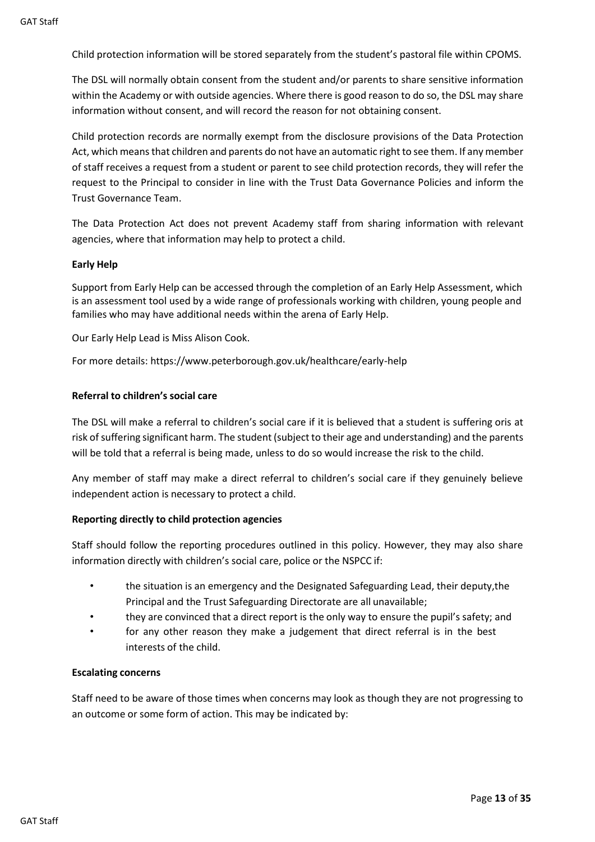Child protection information will be stored separately from the student's pastoral file within CPOMS.

The DSL will normally obtain consent from the student and/or parents to share sensitive information within the Academy or with outside agencies. Where there is good reason to do so, the DSL may share information without consent, and will record the reason for not obtaining consent.

Child protection records are normally exempt from the disclosure provisions of the Data Protection Act, which means that children and parents do not have an automatic right to see them. If any member of staff receives a request from a student or parent to see child protection records, they will refer the request to the Principal to consider in line with the Trust Data Governance Policies and inform the Trust Governance Team.

The Data Protection Act does not prevent Academy staff from sharing information with relevant agencies, where that information may help to protect a child.

#### **Early Help**

Support from Early Help can be accessed through the completion of an Early Help Assessment, which is an assessment tool used by a wide range of professionals working with children, young people and families who may have additional needs within the arena of Early Help.

Our Early Help Lead is Miss Alison Cook.

For more details: https://www.peterborough.gov.uk/healthcare/early-help

#### <span id="page-13-0"></span>**Referral to children's social care**

The DSL will make a referral to children's social care if it is believed that a student is suffering oris at risk of suffering significant harm. The student (subject to their age and understanding) and the parents will be told that a referral is being made, unless to do so would increase the risk to the child.

Any member of staff may make a direct referral to children's social care if they genuinely believe independent action is necessary to protect a child.

#### <span id="page-13-1"></span>**Reporting directly to child protection agencies**

Staff should follow the reporting procedures outlined in this policy. However, they may also share information directly with children's social care, police or the NSPCC if:

- the situation is an emergency and the Designated Safeguarding Lead, their deputy,the Principal and the Trust Safeguarding Directorate are all unavailable;
- they are convinced that a direct report is the only way to ensure the pupil's safety; and
- for any other reason they make a judgement that direct referral is in the best interests of the child.

#### <span id="page-13-2"></span>**Escalating concerns**

Staff need to be aware of those times when concerns may look as though they are not progressing to an outcome or some form of action. This may be indicated by: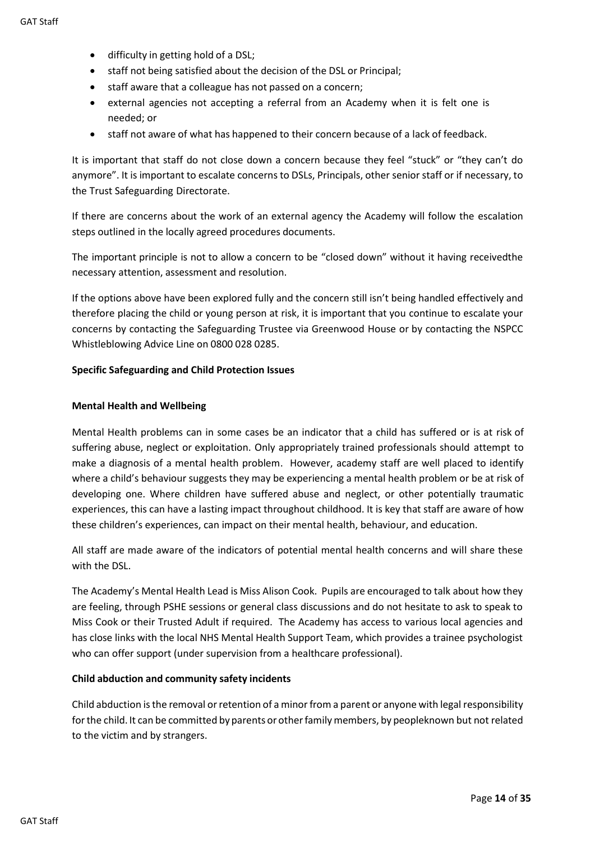- difficulty in getting hold of a DSL;
- staff not being satisfied about the decision of the DSL or Principal;
- staff aware that a colleague has not passed on a concern;
- external agencies not accepting a referral from an Academy when it is felt one is needed; or
- staff not aware of what has happened to their concern because of a lack of feedback.

It is important that staff do not close down a concern because they feel "stuck" or "they can't do anymore". It is important to escalate concerns to DSLs, Principals, other senior staff or if necessary, to the Trust Safeguarding Directorate.

If there are concerns about the work of an external agency the Academy will follow the escalation steps outlined in the locally agreed procedures documents.

The important principle is not to allow a concern to be "closed down" without it having receivedthe necessary attention, assessment and resolution.

If the options above have been explored fully and the concern still isn't being handled effectively and therefore placing the child or young person at risk, it is important that you continue to escalate your concerns by contacting the Safeguarding Trustee via Greenwood House or by contacting the NSPCC Whistleblowing Advice Line on 0800 028 0285.

#### <span id="page-14-0"></span>**Specific Safeguarding and Child Protection Issues**

#### <span id="page-14-1"></span>**Mental Health and Wellbeing**

Mental Health problems can in some cases be an indicator that a child has suffered or is at risk of suffering abuse, neglect or exploitation. Only appropriately trained professionals should attempt to make a diagnosis of a mental health problem. However, academy staff are well placed to identify where a child's behaviour suggests they may be experiencing a mental health problem or be at risk of developing one. Where children have suffered abuse and neglect, or other potentially traumatic experiences, this can have a lasting impact throughout childhood. It is key that staff are aware of how these children's experiences, can impact on their mental health, behaviour, and education.

All staff are made aware of the indicators of potential mental health concerns and will share these with the DSL.

The Academy's Mental Health Lead is Miss Alison Cook. Pupils are encouraged to talk about how they are feeling, through PSHE sessions or general class discussions and do not hesitate to ask to speak to Miss Cook or their Trusted Adult if required. The Academy has access to various local agencies and has close links with the local NHS Mental Health Support Team, which provides a trainee psychologist who can offer support (under supervision from a healthcare professional).

#### <span id="page-14-2"></span>**Child abduction and community safety incidents**

Child abduction is the removal or retention of a minor from a parent or anyone with legal responsibility for the child. It can be committed by parents or other family members, by peopleknown but not related to the victim and by strangers.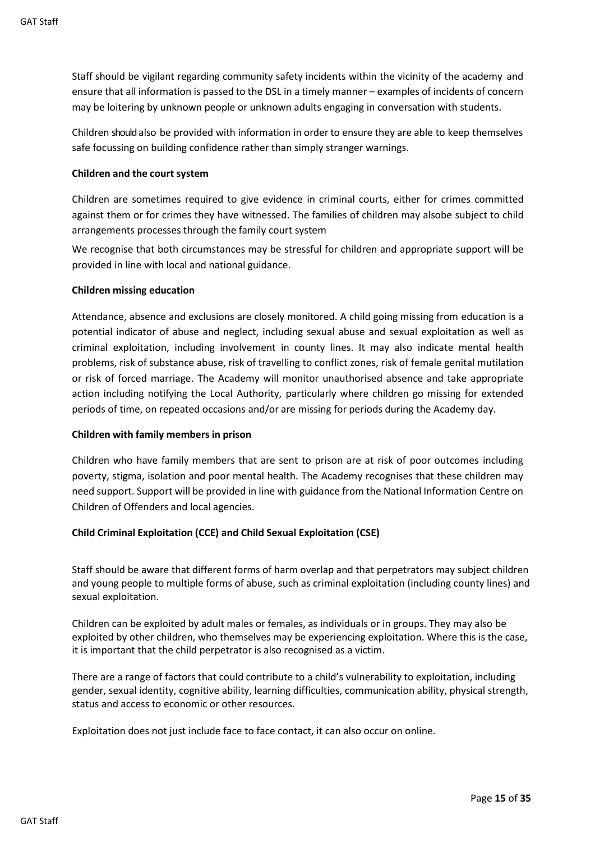Staff should be vigilant regarding community safety incidents within the vicinity of the academy and ensure that all information is passed to the DSL in a timely manner – examples of incidents of concern may be loitering by unknown people or unknown adults engaging in conversation with students.

Children should also be provided with information in order to ensure they are able to keep themselves safe focussing on building confidence rather than simply stranger warnings.

#### <span id="page-15-0"></span>**Children and the court system**

Children are sometimes required to give evidence in criminal courts, either for crimes committed against them or for crimes they have witnessed. The families of children may alsobe subject to child arrangements processes through the family court system

We recognise that both circumstances may be stressful for children and appropriate support will be provided in line with local and national guidance.

#### <span id="page-15-1"></span>**Children missing education**

Attendance, absence and exclusions are closely monitored. A child going missing from education is a potential indicator of abuse and neglect, including sexual abuse and sexual exploitation as well as criminal exploitation, including involvement in county lines. It may also indicate mental health problems, risk of substance abuse, risk of travelling to conflict zones, risk of female genital mutilation or risk of forced marriage. The Academy will monitor unauthorised absence and take appropriate action including notifying the Local Authority, particularly where children go missing for extended periods of time, on repeated occasions and/or are missing for periods during the Academy day.

#### <span id="page-15-2"></span>**Children with family members in prison**

Children who have family members that are sent to prison are at risk of poor outcomes including poverty, stigma, isolation and poor mental health. The Academy recognises that these children may need support. Support will be provided in line with guidance from the National Information Centre on Children of Offenders and local agencies.

#### <span id="page-15-3"></span>**Child Criminal Exploitation (CCE) and Child Sexual Exploitation (CSE)**

Staff should be aware that different forms of harm overlap and that perpetrators may subject children and young people to multiple forms of abuse, such as criminal exploitation (including county lines) and sexual exploitation.

Children can be exploited by adult males or females, as individuals or in groups. They may also be exploited by other children, who themselves may be experiencing exploitation. Where this is the case, it is important that the child perpetrator is also recognised as a victim.

There are a range of factors that could contribute to a child's vulnerability to exploitation, including gender, sexual identity, cognitive ability, learning difficulties, communication ability, physical strength, status and access to economic or other resources.

Exploitation does not just include face to face contact, it can also occur on online.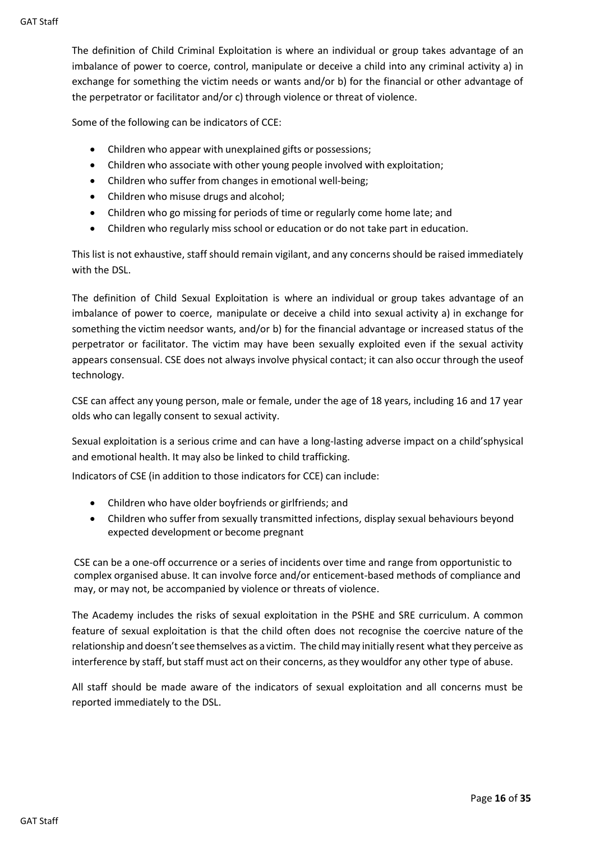The definition of Child Criminal Exploitation is where an individual or group takes advantage of an imbalance of power to coerce, control, manipulate or deceive a child into any criminal activity a) in exchange for something the victim needs or wants and/or b) for the financial or other advantage of the perpetrator or facilitator and/or c) through violence or threat of violence.

Some of the following can be indicators of CCE:

- Children who appear with unexplained gifts or possessions;
- Children who associate with other young people involved with exploitation;
- Children who suffer from changes in emotional well-being;
- Children who misuse drugs and alcohol;
- Children who go missing for periods of time or regularly come home late; and
- Children who regularly miss school or education or do not take part in education.

This list is not exhaustive, staff should remain vigilant, and any concerns should be raised immediately with the DSL.

The definition of Child Sexual Exploitation is where an individual or group takes advantage of an imbalance of power to coerce, manipulate or deceive a child into sexual activity a) in exchange for something the victim needsor wants, and/or b) for the financial advantage or increased status of the perpetrator or facilitator. The victim may have been sexually exploited even if the sexual activity appears consensual. CSE does not always involve physical contact; it can also occur through the useof technology.

CSE can affect any young person, male or female, under the age of 18 years, including 16 and 17 year olds who can legally consent to sexual activity.

Sexual exploitation is a serious crime and can have a long-lasting adverse impact on a child'sphysical and emotional health. It may also be linked to child trafficking.

Indicators of CSE (in addition to those indicators for CCE) can include:

- Children who have older boyfriends or girlfriends; and
- Children who suffer from sexually transmitted infections, display sexual behaviours beyond expected development or become pregnant

CSE can be a one-off occurrence or a series of incidents over time and range from opportunistic to complex organised abuse. It can involve force and/or enticement-based methods of compliance and may, or may not, be accompanied by violence or threats of violence.

The Academy includes the risks of sexual exploitation in the PSHE and SRE curriculum. A common feature of sexual exploitation is that the child often does not recognise the coercive nature of the relationship and doesn't see themselves as a victim. The child may initially resent what they perceive as interference by staff, but staff must act on their concerns, as they wouldfor any other type of abuse.

All staff should be made aware of the indicators of sexual exploitation and all concerns must be reported immediately to the DSL.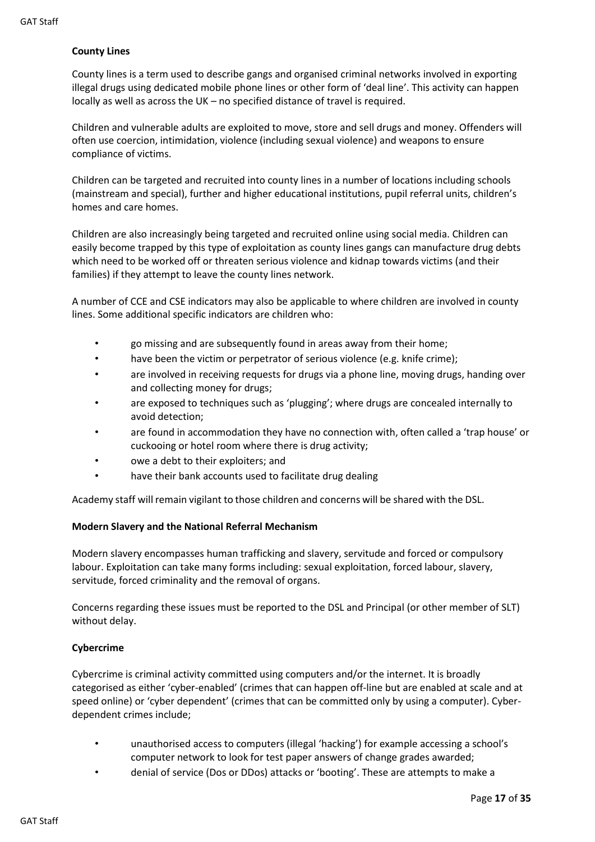#### <span id="page-17-0"></span>**County Lines**

County lines is a term used to describe gangs and organised criminal networks involved in exporting illegal drugs using dedicated mobile phone lines or other form of 'deal line'. This activity can happen locally as well as across the UK – no specified distance of travel is required.

Children and vulnerable adults are exploited to move, store and sell drugs and money. Offenders will often use coercion, intimidation, violence (including sexual violence) and weapons to ensure compliance of victims.

Children can be targeted and recruited into county lines in a number of locations including schools (mainstream and special), further and higher educational institutions, pupil referral units, children's homes and care homes.

Children are also increasingly being targeted and recruited online using social media. Children can easily become trapped by this type of exploitation as county lines gangs can manufacture drug debts which need to be worked off or threaten serious violence and kidnap towards victims (and their families) if they attempt to leave the county lines network.

A number of CCE and CSE indicators may also be applicable to where children are involved in county lines. Some additional specific indicators are children who:

- go missing and are subsequently found in areas away from their home;
- have been the victim or perpetrator of serious violence (e.g. knife crime);
- are involved in receiving requests for drugs via a phone line, moving drugs, handing over and collecting money for drugs;
- are exposed to techniques such as 'plugging'; where drugs are concealed internally to avoid detection;
- are found in accommodation they have no connection with, often called a 'trap house' or cuckooing or hotel room where there is drug activity;
- owe a debt to their exploiters; and
- have their bank accounts used to facilitate drug dealing

Academy staff will remain vigilant to those children and concerns will be shared with the DSL.

#### <span id="page-17-1"></span>**Modern Slavery and the National Referral Mechanism**

Modern slavery encompasses human trafficking and slavery, servitude and forced or compulsory labour. Exploitation can take many forms including: sexual exploitation, forced labour, slavery, servitude, forced criminality and the removal of organs.

Concerns regarding these issues must be reported to the DSL and Principal (or other member of SLT) without delay.

#### <span id="page-17-2"></span>**Cybercrime**

Cybercrime is criminal activity committed using computers and/or the internet. It is broadly categorised as either 'cyber-enabled' (crimes that can happen off-line but are enabled at scale and at speed online) or 'cyber dependent' (crimes that can be committed only by using a computer). Cyberdependent crimes include;

- unauthorised access to computers (illegal 'hacking') for example accessing a school's computer network to look for test paper answers of change grades awarded;
- denial of service (Dos or DDos) attacks or 'booting'. These are attempts to make a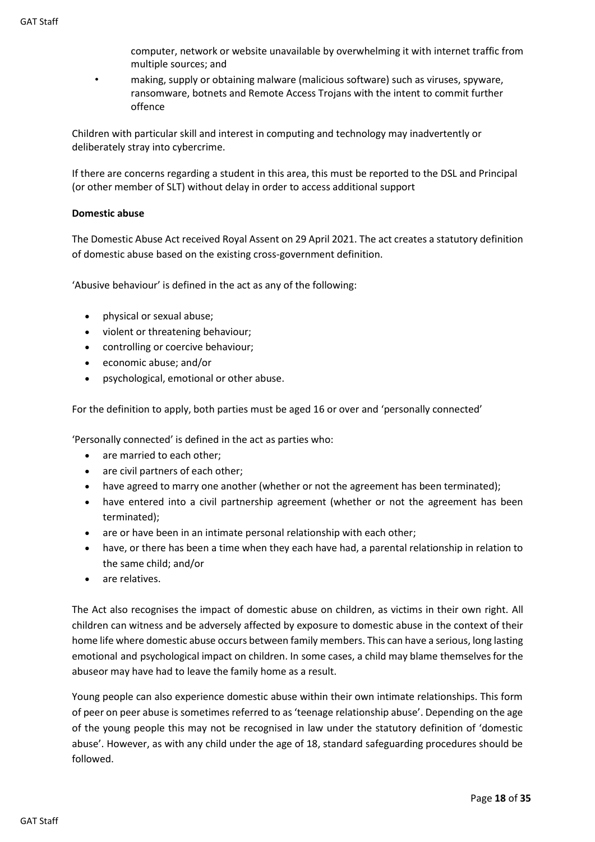computer, network or website unavailable by overwhelming it with internet traffic from multiple sources; and

• making, supply or obtaining malware (malicious software) such as viruses, spyware, ransomware, botnets and Remote Access Trojans with the intent to commit further offence

Children with particular skill and interest in computing and technology may inadvertently or deliberately stray into cybercrime.

If there are concerns regarding a student in this area, this must be reported to the DSL and Principal (or other member of SLT) without delay in order to access additional support

#### <span id="page-18-0"></span>**Domestic abuse**

The Domestic Abuse Act received Royal Assent on 29 April 2021. The act creates a statutory definition of domestic abuse based on the existing cross-government definition.

'Abusive behaviour' is defined in the act as any of the following:

- physical or sexual abuse;
- violent or threatening behaviour;
- controlling or coercive behaviour;
- economic abuse; and/or
- psychological, emotional or other abuse.

For the definition to apply, both parties must be aged 16 or over and 'personally connected'

'Personally connected' is defined in the act as parties who:

- are married to each other:
- are civil partners of each other;
- have agreed to marry one another (whether or not the agreement has been terminated);
- have entered into a civil partnership agreement (whether or not the agreement has been terminated);
- are or have been in an intimate personal relationship with each other;
- have, or there has been a time when they each have had, a parental relationship in relation to the same child; and/or
- are relatives.

The Act also recognises the impact of domestic abuse on children, as victims in their own right. All children can witness and be adversely affected by exposure to domestic abuse in the context of their home life where domestic abuse occurs between family members. This can have a serious, long lasting emotional and psychological impact on children. In some cases, a child may blame themselvesfor the abuseor may have had to leave the family home as a result.

Young people can also experience domestic abuse within their own intimate relationships. This form of peer on peer abuse is sometimes referred to as 'teenage relationship abuse'. Depending on the age of the young people this may not be recognised in law under the statutory definition of 'domestic abuse'. However, as with any child under the age of 18, standard safeguarding procedures should be followed.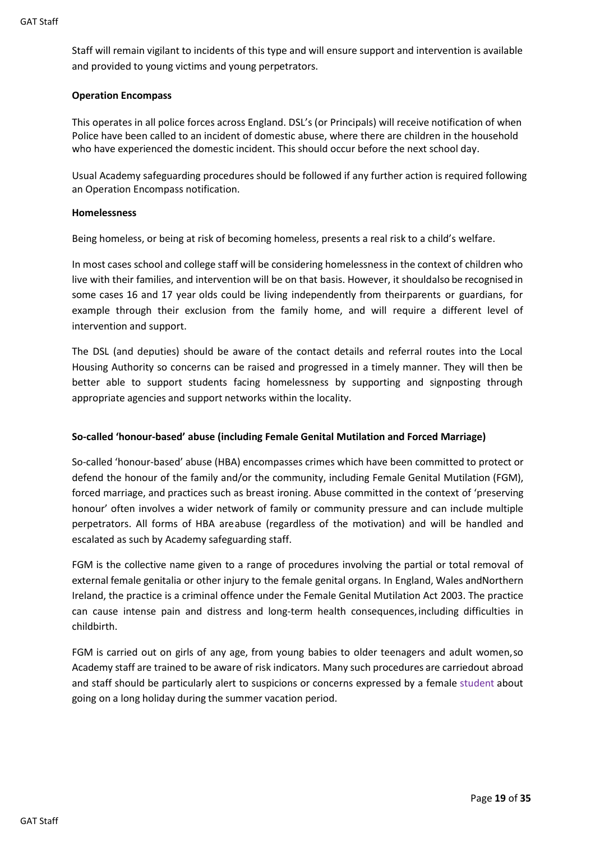Staff will remain vigilant to incidents of this type and will ensure support and intervention is available and provided to young victims and young perpetrators.

#### <span id="page-19-0"></span>**Operation Encompass**

This operates in all police forces across England. DSL's (or Principals) will receive notification of when Police have been called to an incident of domestic abuse, where there are children in the household who have experienced the domestic incident. This should occur before the next school day.

Usual Academy safeguarding procedures should be followed if any further action is required following an Operation Encompass notification.

#### <span id="page-19-1"></span>**Homelessness**

Being homeless, or being at risk of becoming homeless, presents a real risk to a child's welfare.

In most cases school and college staff will be considering homelessness in the context of children who live with their families, and intervention will be on that basis. However, it shouldalso be recognised in some cases 16 and 17 year olds could be living independently from theirparents or guardians, for example through their exclusion from the family home, and will require a different level of intervention and support.

The DSL (and deputies) should be aware of the contact details and referral routes into the Local Housing Authority so concerns can be raised and progressed in a timely manner. They will then be better able to support students facing homelessness by supporting and signposting through appropriate agencies and support networks within the locality.

#### <span id="page-19-2"></span>**So-called 'honour-based' abuse (including Female Genital Mutilation and Forced Marriage)**

So-called 'honour-based' abuse (HBA) encompasses crimes which have been committed to protect or defend the honour of the family and/or the community, including Female Genital Mutilation (FGM), forced marriage, and practices such as breast ironing. Abuse committed in the context of 'preserving honour' often involves a wider network of family or community pressure and can include multiple perpetrators. All forms of HBA areabuse (regardless of the motivation) and will be handled and escalated as such by Academy safeguarding staff.

FGM is the collective name given to a range of procedures involving the partial or total removal of external female genitalia or other injury to the female genital organs. In England, Wales andNorthern Ireland, the practice is a criminal offence under the Female Genital Mutilation Act 2003. The practice can cause intense pain and distress and long-term health consequences, including difficulties in childbirth.

FGM is carried out on girls of any age, from young babies to older teenagers and adult women,so Academy staff are trained to be aware of risk indicators. Many such procedures are carriedout abroad and staff should be particularly alert to suspicions or concerns expressed by a female student about going on a long holiday during the summer vacation period.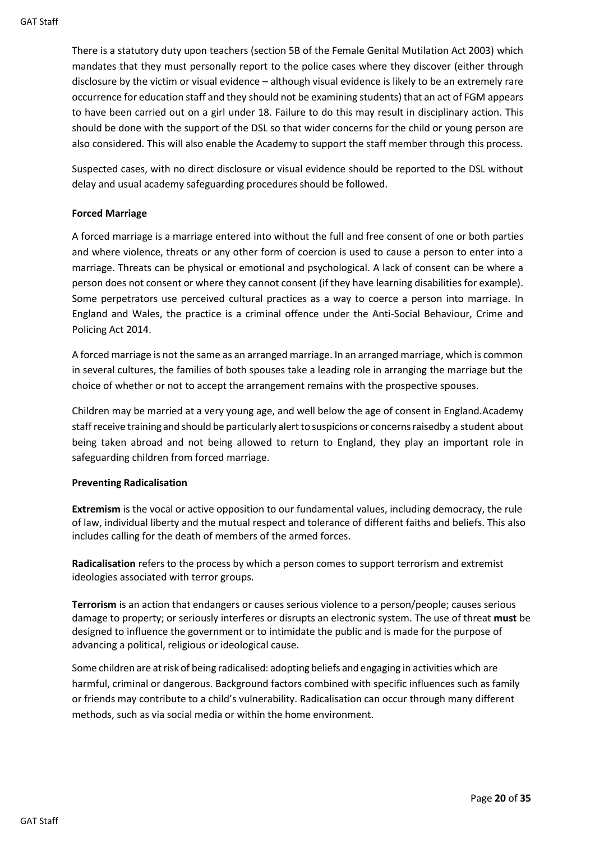There is a statutory duty upon teachers (section 5B of the Female Genital Mutilation Act 2003) which mandates that they must personally report to the police cases where they discover (either through disclosure by the victim or visual evidence – although visual evidence is likely to be an extremely rare occurrence for education staff and they should not be examining students) that an act of FGM appears to have been carried out on a girl under 18. Failure to do this may result in disciplinary action. This should be done with the support of the DSL so that wider concerns for the child or young person are also considered. This will also enable the Academy to support the staff member through this process.

Suspected cases, with no direct disclosure or visual evidence should be reported to the DSL without delay and usual academy safeguarding procedures should be followed.

#### <span id="page-20-0"></span>**Forced Marriage**

A forced marriage is a marriage entered into without the full and free consent of one or both parties and where violence, threats or any other form of coercion is used to cause a person to enter into a marriage. Threats can be physical or emotional and psychological. A lack of consent can be where a person does not consent or where they cannot consent (if they have learning disabilities for example). Some perpetrators use perceived cultural practices as a way to coerce a person into marriage. In England and Wales, the practice is a criminal offence under the Anti-Social Behaviour, Crime and Policing Act 2014.

A forced marriage is not the same as an arranged marriage. In an arranged marriage, which is common in several cultures, the families of both spouses take a leading role in arranging the marriage but the choice of whether or not to accept the arrangement remains with the prospective spouses.

Children may be married at a very young age, and well below the age of consent in England.Academy staff receive training and should be particularly alert to suspicions or concerns raisedby a student about being taken abroad and not being allowed to return to England, they play an important role in safeguarding children from forced marriage.

#### <span id="page-20-1"></span>**Preventing Radicalisation**

**Extremism** is the vocal or active opposition to our fundamental values, including democracy, the rule of law, individual liberty and the mutual respect and tolerance of different faiths and beliefs. This also includes calling for the death of members of the armed forces.

**Radicalisation** refers to the process by which a person comes to support terrorism and extremist ideologies associated with terror groups.

**Terrorism** is an action that endangers or causes serious violence to a person/people; causes serious damage to property; or seriously interferes or disrupts an electronic system. The use of threat **must** be designed to influence the government or to intimidate the public and is made for the purpose of advancing a political, religious or ideological cause.

Some children are atrisk of being radicalised: adopting beliefs and engaging in activities which are harmful, criminal or dangerous. Background factors combined with specific influences such as family or friends may contribute to a child's vulnerability. Radicalisation can occur through many different methods, such as via social media or within the home environment.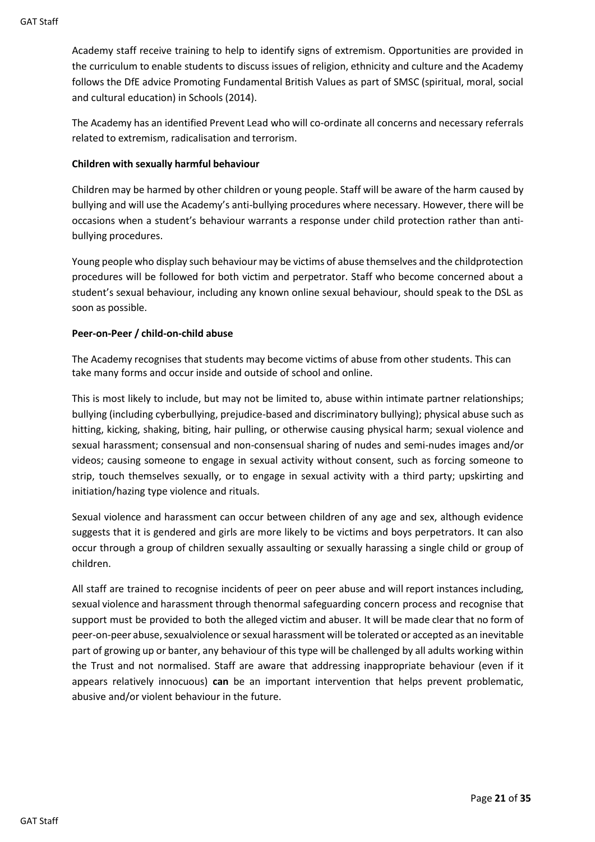Academy staff receive training to help to identify signs of extremism. Opportunities are provided in the curriculum to enable students to discuss issues of religion, ethnicity and culture and the Academy follows the DfE advice Promoting Fundamental British Values as part of SMSC (spiritual, moral, social and cultural education) in Schools (2014).

The Academy has an identified Prevent Lead who will co-ordinate all concerns and necessary referrals related to extremism, radicalisation and terrorism.

#### <span id="page-21-0"></span>**Children with sexually harmful behaviour**

Children may be harmed by other children or young people. Staff will be aware of the harm caused by bullying and will use the Academy's anti-bullying procedures where necessary. However, there will be occasions when a student's behaviour warrants a response under child protection rather than antibullying procedures.

Young people who display such behaviour may be victims of abuse themselves and the childprotection procedures will be followed for both victim and perpetrator. Staff who become concerned about a student's sexual behaviour, including any known online sexual behaviour, should speak to the DSL as soon as possible.

#### <span id="page-21-1"></span>**Peer-on-Peer / child-on-child abuse**

The Academy recognises that students may become victims of abuse from other students. This can take many forms and occur inside and outside of school and online.

This is most likely to include, but may not be limited to, abuse within intimate partner relationships; bullying (including cyberbullying, prejudice-based and discriminatory bullying); physical abuse such as hitting, kicking, shaking, biting, hair pulling, or otherwise causing physical harm; sexual violence and sexual harassment; consensual and non-consensual sharing of nudes and semi-nudes images and/or videos; causing someone to engage in sexual activity without consent, such as forcing someone to strip, touch themselves sexually, or to engage in sexual activity with a third party; upskirting and initiation/hazing type violence and rituals.

Sexual violence and harassment can occur between children of any age and sex, although evidence suggests that it is gendered and girls are more likely to be victims and boys perpetrators. It can also occur through a group of children sexually assaulting or sexually harassing a single child or group of children.

All staff are trained to recognise incidents of peer on peer abuse and will report instances including, sexual violence and harassment through thenormal safeguarding concern process and recognise that support must be provided to both the alleged victim and abuser. It will be made clear that no form of peer-on-peer abuse, sexualviolence or sexual harassment will be tolerated or accepted as an inevitable part of growing up or banter, any behaviour of this type will be challenged by all adults working within the Trust and not normalised. Staff are aware that addressing inappropriate behaviour (even if it appears relatively innocuous) **can** be an important intervention that helps prevent problematic, abusive and/or violent behaviour in the future.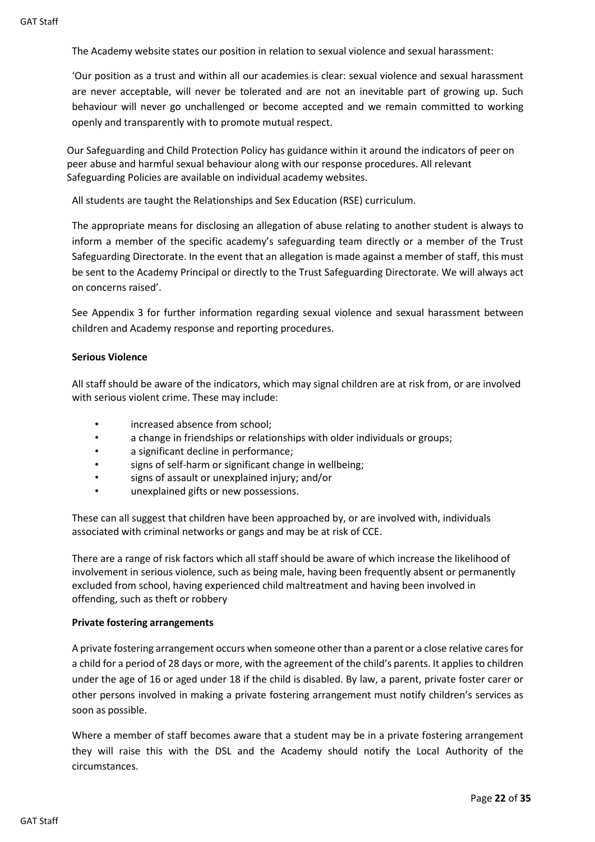The Academy website states our position in relation to sexual violence and sexual harassment:

'Our position as a trust and within all our academies is clear: sexual violence and sexual harassment are never acceptable, will never be tolerated and are not an inevitable part of growing up. Such behaviour will never go unchallenged or become accepted and we remain committed to working openly and transparently with to promote mutual respect.

Our Safeguarding and Child Protection Policy has guidance within it around the indicators of peer on peer abuse and harmful sexual behaviour along with our response procedures. All relevant Safeguarding Policies are available on individual academy websites.

All students are taught the Relationships and Sex Education (RSE) curriculum.

The appropriate means for disclosing an allegation of abuse relating to another student is always to inform a member of the specific academy's safeguarding team directly or a member of the Trust Safeguarding Directorate. In the event that an allegation is made against a member of staff, this must be sent to the Academy Principal or directly to the Trust Safeguarding Directorate. We will always act on concerns raised'.

See Appendix 3 for further information regarding sexual violence and sexual harassment between children and Academy response and reporting procedures.

#### <span id="page-22-0"></span>**Serious Violence**

All staff should be aware of the indicators, which may signal children are at risk from, or are involved with serious violent crime. These may include:

- increased absence from school;
- a change in friendships or relationships with older individuals or groups;
- a significant decline in performance;
- signs of self-harm or significant change in wellbeing;
- signs of assault or unexplained injury; and/or
- unexplained gifts or new possessions.

These can all suggest that children have been approached by, or are involved with, individuals associated with criminal networks or gangs and may be at risk of CCE.

There are a range of risk factors which all staff should be aware of which increase the likelihood of involvement in serious violence, such as being male, having been frequently absent or permanently excluded from school, having experienced child maltreatment and having been involved in offending, such as theft or robbery

#### <span id="page-22-1"></span>**Private fostering arrangements**

A private fostering arrangement occurs when someone otherthan a parent or a close relative cares for a child for a period of 28 days or more, with the agreement of the child's parents. It applies to children under the age of 16 or aged under 18 if the child is disabled. By law, a parent, private foster carer or other persons involved in making a private fostering arrangement must notify children's services as soon as possible.

Where a member of staff becomes aware that a student may be in a private fostering arrangement they will raise this with the DSL and the Academy should notify the Local Authority of the circumstances.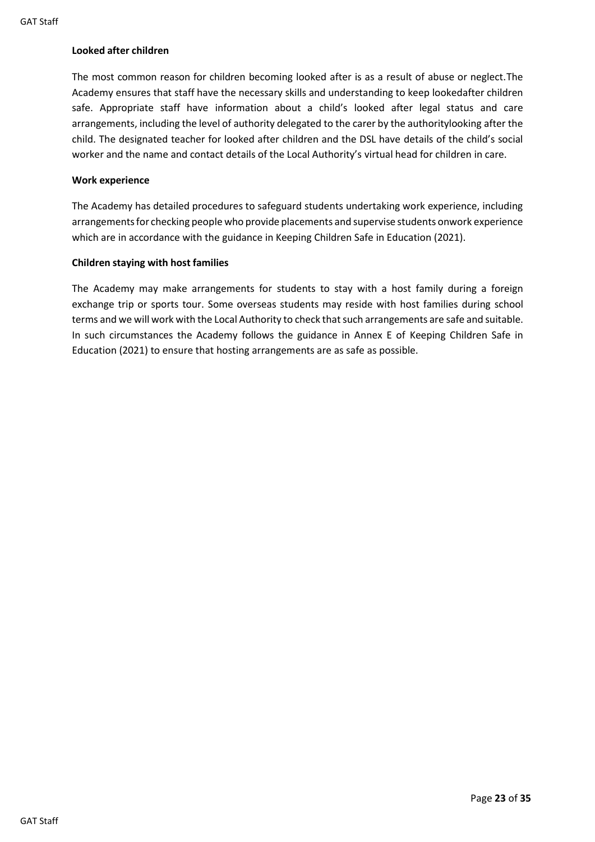#### <span id="page-23-0"></span>**Looked after children**

The most common reason for children becoming looked after is as a result of abuse or neglect.The Academy ensures that staff have the necessary skills and understanding to keep lookedafter children safe. Appropriate staff have information about a child's looked after legal status and care arrangements, including the level of authority delegated to the carer by the authoritylooking after the child. The designated teacher for looked after children and the DSL have details of the child's social worker and the name and contact details of the Local Authority's virtual head for children in care.

#### <span id="page-23-1"></span>**Work experience**

The Academy has detailed procedures to safeguard students undertaking work experience, including arrangements for checking people who provide placements and supervise students onwork experience which are in accordance with the guidance in Keeping Children Safe in Education (2021).

#### <span id="page-23-2"></span>**Children staying with host families**

The Academy may make arrangements for students to stay with a host family during a foreign exchange trip or sports tour. Some overseas students may reside with host families during school terms and we will work with the Local Authority to check that such arrangements are safe and suitable. In such circumstances the Academy follows the guidance in Annex E of Keeping Children Safe in Education (2021) to ensure that hosting arrangements are as safe as possible.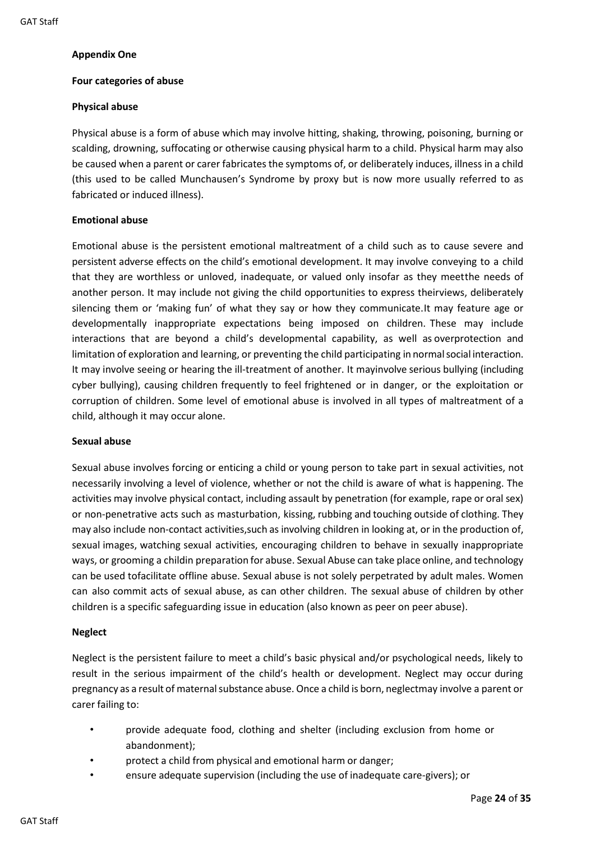#### <span id="page-24-0"></span>**Appendix One**

#### **Four categories of abuse**

#### **Physical abuse**

Physical abuse is a form of abuse which may involve hitting, shaking, throwing, poisoning, burning or scalding, drowning, suffocating or otherwise causing physical harm to a child. Physical harm may also be caused when a parent or carer fabricates the symptoms of, or deliberately induces, illness in a child (this used to be called Munchausen's Syndrome by proxy but is now more usually referred to as fabricated or induced illness).

#### <span id="page-24-1"></span>**Emotional abuse**

Emotional abuse is the persistent emotional maltreatment of a child such as to cause severe and persistent adverse effects on the child's emotional development. It may involve conveying to a child that they are worthless or unloved, inadequate, or valued only insofar as they meetthe needs of another person. It may include not giving the child opportunities to express theirviews, deliberately silencing them or 'making fun' of what they say or how they communicate.It may feature age or developmentally inappropriate expectations being imposed on children. These may include interactions that are beyond a child's developmental capability, as well as overprotection and limitation of exploration and learning, or preventing the child participating in normalsocial interaction. It may involve seeing or hearing the ill-treatment of another. It mayinvolve serious bullying (including cyber bullying), causing children frequently to feel frightened or in danger, or the exploitation or corruption of children. Some level of emotional abuse is involved in all types of maltreatment of a child, although it may occur alone.

#### <span id="page-24-2"></span>**Sexual abuse**

Sexual abuse involves forcing or enticing a child or young person to take part in sexual activities, not necessarily involving a level of violence, whether or not the child is aware of what is happening. The activities may involve physical contact, including assault by penetration (for example, rape or oral sex) or non-penetrative acts such as masturbation, kissing, rubbing and touching outside of clothing. They may also include non-contact activities,such as involving children in looking at, or in the production of, sexual images, watching sexual activities, encouraging children to behave in sexually inappropriate ways, or grooming a childin preparation for abuse. Sexual Abuse can take place online, and technology can be used tofacilitate offline abuse. Sexual abuse is not solely perpetrated by adult males. Women can also commit acts of sexual abuse, as can other children. The sexual abuse of children by other children is a specific safeguarding issue in education (also known as peer on peer abuse).

#### <span id="page-24-3"></span>**Neglect**

Neglect is the persistent failure to meet a child's basic physical and/or psychological needs, likely to result in the serious impairment of the child's health or development. Neglect may occur during pregnancy as a result of maternalsubstance abuse. Once a child is born, neglectmay involve a parent or carer failing to:

- provide adequate food, clothing and shelter (including exclusion from home or abandonment);
- protect a child from physical and emotional harm or danger;
- ensure adequate supervision (including the use of inadequate care-givers); or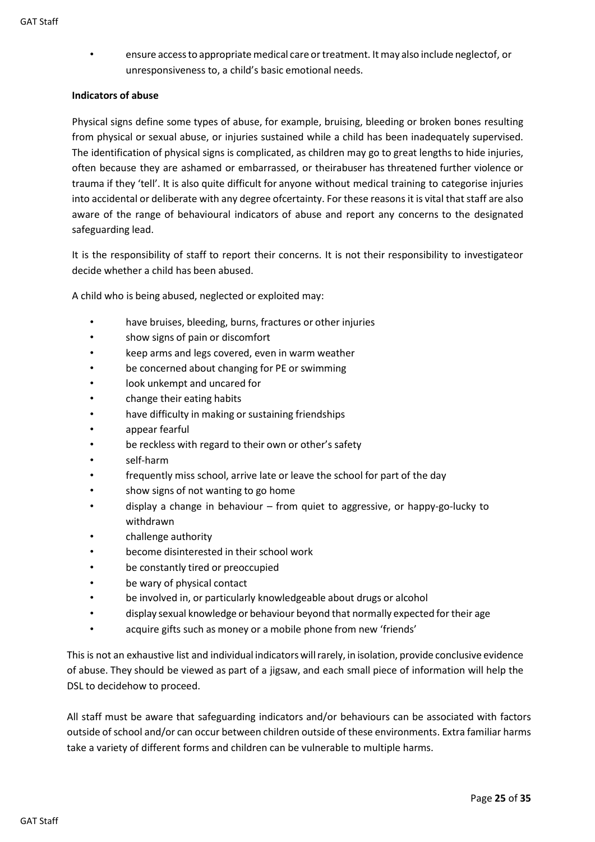• ensure accessto appropriate medical care ortreatment. It may also include neglectof, or unresponsiveness to, a child's basic emotional needs.

#### <span id="page-25-0"></span>**Indicators of abuse**

Physical signs define some types of abuse, for example, bruising, bleeding or broken bones resulting from physical or sexual abuse, or injuries sustained while a child has been inadequately supervised. The identification of physical signs is complicated, as children may go to great lengths to hide injuries, often because they are ashamed or embarrassed, or theirabuser has threatened further violence or trauma if they 'tell'. It is also quite difficult for anyone without medical training to categorise injuries into accidental or deliberate with any degree ofcertainty. For these reasons it is vital that staff are also aware of the range of behavioural indicators of abuse and report any concerns to the designated safeguarding lead.

It is the responsibility of staff to report their concerns. It is not their responsibility to investigateor decide whether a child has been abused.

A child who is being abused, neglected or exploited may:

- have bruises, bleeding, burns, fractures or other injuries
- show signs of pain or discomfort
- keep arms and legs covered, even in warm weather
- be concerned about changing for PE or swimming
- look unkempt and uncared for
- change their eating habits
- have difficulty in making or sustaining friendships
- appear fearful
- be reckless with regard to their own or other's safety
- self-harm
- frequently miss school, arrive late or leave the school for part of the day
- show signs of not wanting to go home
- display a change in behaviour from quiet to aggressive, or happy-go-lucky to withdrawn
- challenge authority
- become disinterested in their school work
- be constantly tired or preoccupied
- be wary of physical contact
- be involved in, or particularly knowledgeable about drugs or alcohol
- display sexual knowledge or behaviour beyond that normally expected for their age
- acquire gifts such as money or a mobile phone from new 'friends'

This is not an exhaustive list and individual indicatorswillrarely, in isolation, provide conclusive evidence of abuse. They should be viewed as part of a jigsaw, and each small piece of information will help the DSL to decidehow to proceed.

All staff must be aware that safeguarding indicators and/or behaviours can be associated with factors outside of school and/or can occur between children outside of these environments. Extra familiar harms take a variety of different forms and children can be vulnerable to multiple harms.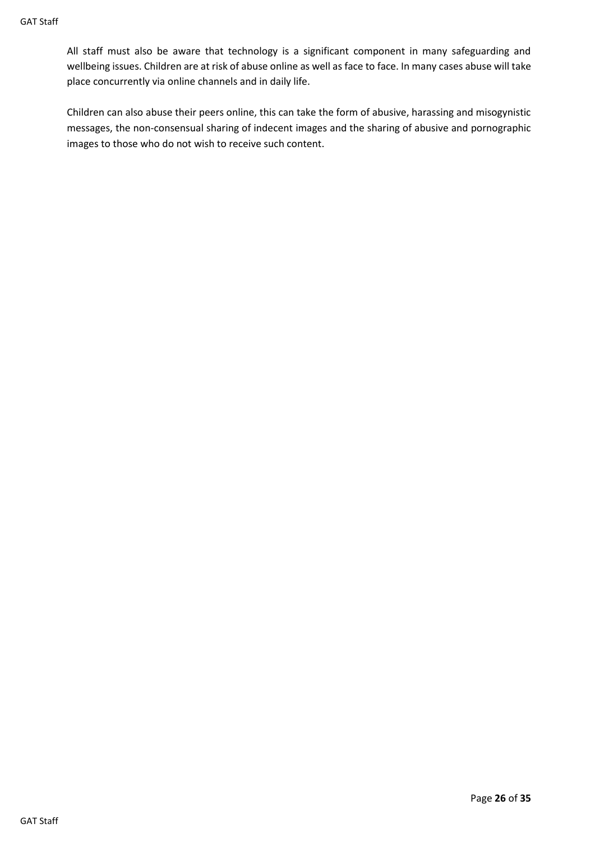All staff must also be aware that technology is a significant component in many safeguarding and wellbeing issues. Children are at risk of abuse online as well as face to face. In many cases abuse will take place concurrently via online channels and in daily life.

Children can also abuse their peers online, this can take the form of abusive, harassing and misogynistic messages, the non-consensual sharing of indecent images and the sharing of abusive and pornographic images to those who do not wish to receive such content.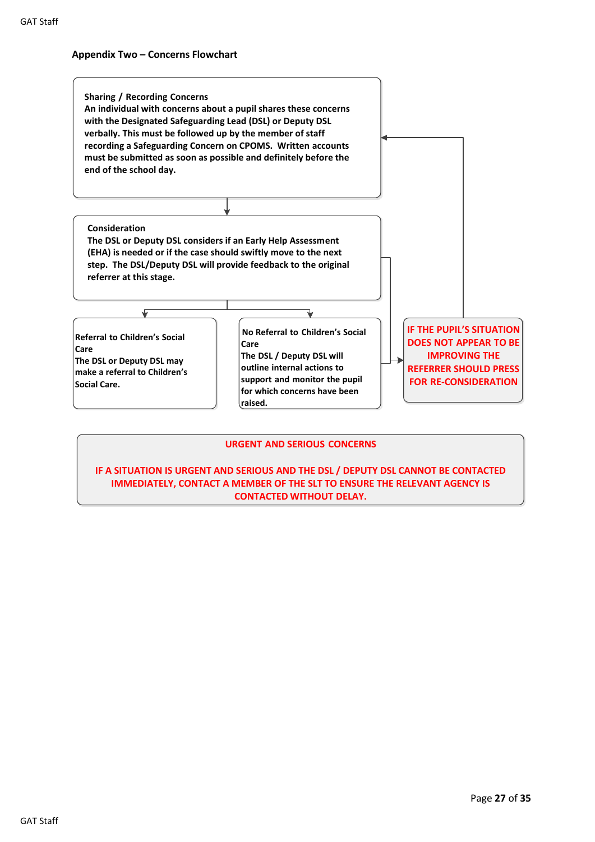#### <span id="page-27-0"></span>**Appendix Two – Concerns Flowchart**



#### **URGENT AND SERIOUS CONCERNS**

**IF A SITUATION IS URGENT AND SERIOUS AND THE DSL / DEPUTY DSL CANNOT BE CONTACTED IMMEDIATELY, CONTACT A MEMBER OF THE SLT TO ENSURE THE RELEVANT AGENCY IS CONTACTED WITHOUT DELAY.**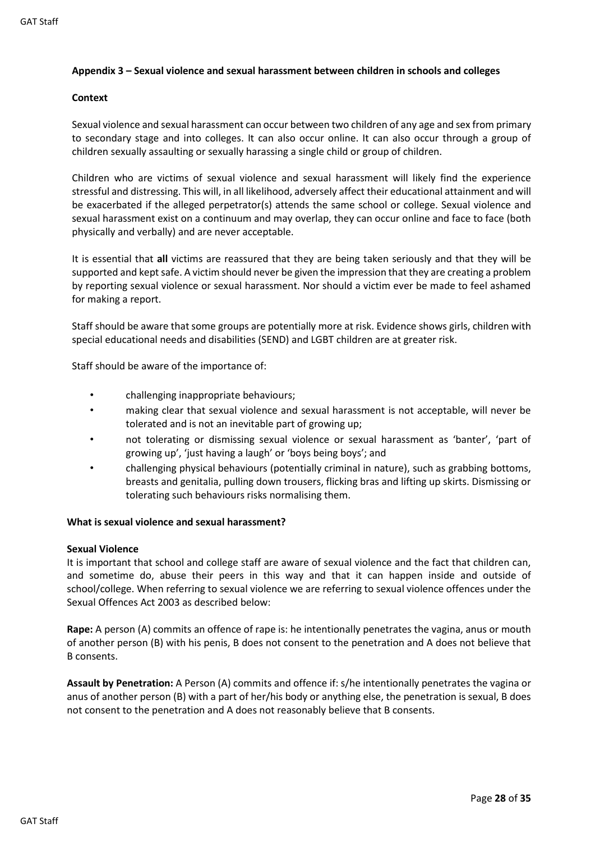#### <span id="page-28-0"></span>**Appendix 3 – Sexual violence and sexual harassment between children in schools and colleges**

#### **Context**

Sexual violence and sexual harassment can occur between two children of any age and sex from primary to secondary stage and into colleges. It can also occur online. It can also occur through a group of children sexually assaulting or sexually harassing a single child or group of children.

Children who are victims of sexual violence and sexual harassment will likely find the experience stressful and distressing. This will, in all likelihood, adversely affect their educational attainment and will be exacerbated if the alleged perpetrator(s) attends the same school or college. Sexual violence and sexual harassment exist on a continuum and may overlap, they can occur online and face to face (both physically and verbally) and are never acceptable.

It is essential that **all** victims are reassured that they are being taken seriously and that they will be supported and kept safe. A victim should never be given the impression that they are creating a problem by reporting sexual violence or sexual harassment. Nor should a victim ever be made to feel ashamed for making a report.

Staff should be aware that some groups are potentially more at risk. Evidence shows girls, children with special educational needs and disabilities (SEND) and LGBT children are at greater risk.

Staff should be aware of the importance of:

- challenging inappropriate behaviours;
- making clear that sexual violence and sexual harassment is not acceptable, will never be tolerated and is not an inevitable part of growing up;
- not tolerating or dismissing sexual violence or sexual harassment as 'banter', 'part of growing up', 'just having a laugh' or 'boys being boys'; and
- challenging physical behaviours (potentially criminal in nature), such as grabbing bottoms, breasts and genitalia, pulling down trousers, flicking bras and lifting up skirts. Dismissing or tolerating such behaviours risks normalising them.

#### **What is sexual violence and sexual harassment?**

#### **Sexual Violence**

It is important that school and college staff are aware of sexual violence and the fact that children can, and sometime do, abuse their peers in this way and that it can happen inside and outside of school/college. When referring to sexual violence we are referring to sexual violence offences under the Sexual Offences Act 2003 as described below:

**Rape:** A person (A) commits an offence of rape is: he intentionally penetrates the vagina, anus or mouth of another person (B) with his penis, B does not consent to the penetration and A does not believe that B consents.

**Assault by Penetration:** A Person (A) commits and offence if: s/he intentionally penetrates the vagina or anus of another person (B) with a part of her/his body or anything else, the penetration is sexual, B does not consent to the penetration and A does not reasonably believe that B consents.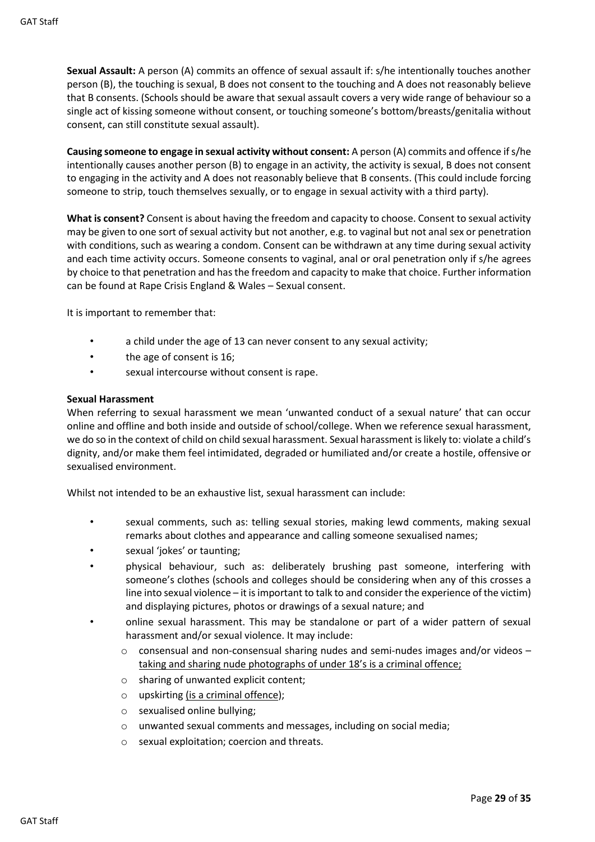**Sexual Assault:** A person (A) commits an offence of sexual assault if: s/he intentionally touches another person (B), the touching is sexual, B does not consent to the touching and A does not reasonably believe that B consents. (Schools should be aware that sexual assault covers a very wide range of behaviour so a single act of kissing someone without consent, or touching someone's bottom/breasts/genitalia without consent, can still constitute sexual assault).

**Causing someone to engage in sexual activity without consent:** A person (A) commits and offence if s/he intentionally causes another person (B) to engage in an activity, the activity is sexual, B does not consent to engaging in the activity and A does not reasonably believe that B consents. (This could include forcing someone to strip, touch themselves sexually, or to engage in sexual activity with a third party).

**What is consent?** Consent is about having the freedom and capacity to choose. Consent to sexual activity may be given to one sort of sexual activity but not another, e.g. to vaginal but not anal sex or penetration with conditions, such as wearing a condom. Consent can be withdrawn at any time during sexual activity and each time activity occurs. Someone consents to vaginal, anal or oral penetration only if s/he agrees by choice to that penetration and has the freedom and capacity to make that choice. Further information can be found at Rape Crisis England & Wales – Sexual consent.

It is important to remember that:

- a child under the age of 13 can never consent to any sexual activity;
- the age of consent is 16;
- sexual intercourse without consent is rape.

#### **Sexual Harassment**

When referring to sexual harassment we mean 'unwanted conduct of a sexual nature' that can occur online and offline and both inside and outside of school/college. When we reference sexual harassment, we do so in the context of child on child sexual harassment. Sexual harassment is likely to: violate a child's dignity, and/or make them feel intimidated, degraded or humiliated and/or create a hostile, offensive or sexualised environment.

Whilst not intended to be an exhaustive list, sexual harassment can include:

- sexual comments, such as: telling sexual stories, making lewd comments, making sexual remarks about clothes and appearance and calling someone sexualised names;
- sexual 'jokes' or taunting;
- physical behaviour, such as: deliberately brushing past someone, interfering with someone's clothes (schools and colleges should be considering when any of this crosses a line into sexual violence – it is important to talk to and consider the experience of the victim) and displaying pictures, photos or drawings of a sexual nature; and
- online sexual harassment. This may be standalone or part of a wider pattern of sexual harassment and/or sexual violence. It may include:
	- $\circ$  consensual and non-consensual sharing nudes and semi-nudes images and/or videos taking and sharing nude photographs of under 18's is a criminal offence;
	- o sharing of unwanted explicit content;
	- o upskirting (is a criminal offence);
	- o sexualised online bullying;
	- o unwanted sexual comments and messages, including on social media;
	- o sexual exploitation; coercion and threats.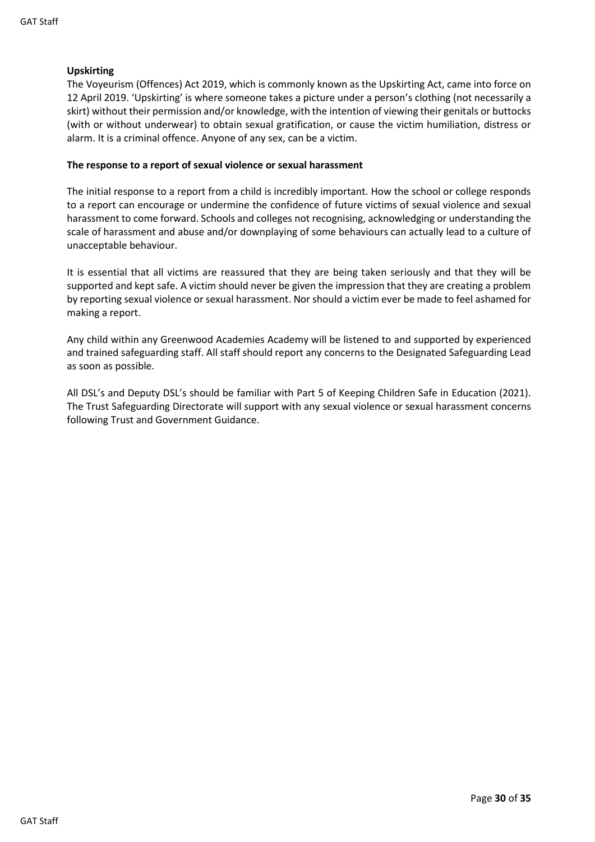#### **Upskirting**

The Voyeurism (Offences) Act 2019, which is commonly known as the Upskirting Act, came into force on 12 April 2019. 'Upskirting' is where someone takes a picture under a person's clothing (not necessarily a skirt) without their permission and/or knowledge, with the intention of viewing their genitals or buttocks (with or without underwear) to obtain sexual gratification, or cause the victim humiliation, distress or alarm. It is a criminal offence. Anyone of any sex, can be a victim.

#### **The response to a report of sexual violence or sexual harassment**

The initial response to a report from a child is incredibly important. How the school or college responds to a report can encourage or undermine the confidence of future victims of sexual violence and sexual harassment to come forward. Schools and colleges not recognising, acknowledging or understanding the scale of harassment and abuse and/or downplaying of some behaviours can actually lead to a culture of unacceptable behaviour.

It is essential that all victims are reassured that they are being taken seriously and that they will be supported and kept safe. A victim should never be given the impression that they are creating a problem by reporting sexual violence or sexual harassment. Nor should a victim ever be made to feel ashamed for making a report.

Any child within any Greenwood Academies Academy will be listened to and supported by experienced and trained safeguarding staff. All staff should report any concerns to the Designated Safeguarding Lead as soon as possible.

All DSL's and Deputy DSL's should be familiar with Part 5 of Keeping Children Safe in Education (2021). The Trust Safeguarding Directorate will support with any sexual violence or sexual harassment concerns following Trust and Government Guidance.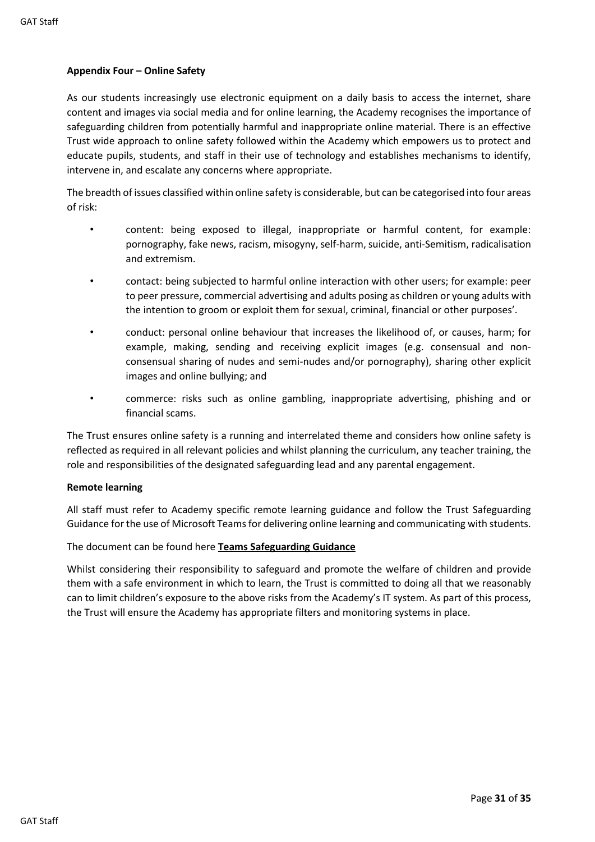#### <span id="page-31-0"></span>**Appendix Four – Online Safety**

As our students increasingly use electronic equipment on a daily basis to access the internet, share content and images via social media and for online learning, the Academy recognises the importance of safeguarding children from potentially harmful and inappropriate online material. There is an effective Trust wide approach to online safety followed within the Academy which empowers us to protect and educate pupils, students, and staff in their use of technology and establishes mechanisms to identify, intervene in, and escalate any concerns where appropriate.

The breadth of issues classified within online safety is considerable, but can be categorised into four areas of risk:

- content: being exposed to illegal, inappropriate or harmful content, for example: pornography, fake news, racism, misogyny, self-harm, suicide, anti-Semitism, radicalisation and extremism.
- contact: being subjected to harmful online interaction with other users; for example: peer to peer pressure, commercial advertising and adults posing as children or young adults with the intention to groom or exploit them for sexual, criminal, financial or other purposes'.
- conduct: personal online behaviour that increases the likelihood of, or causes, harm; for example, making, sending and receiving explicit images (e.g. consensual and nonconsensual sharing of nudes and semi-nudes and/or pornography), sharing other explicit images and online bullying; and
- commerce: risks such as online gambling, inappropriate advertising, phishing and or financial scams.

The Trust ensures online safety is a running and interrelated theme and considers how online safety is reflected as required in all relevant policies and whilst planning the curriculum, any teacher training, the role and responsibilities of the designated safeguarding lead and any parental engagement.

#### **Remote learning**

All staff must refer to Academy specific remote learning guidance and follow the Trust Safeguarding Guidance for the use of Microsoft Teams for delivering online learning and communicating with students.

The document can be found here **[Teams Safeguarding Guidance](https://nottinghamacademy.sharepoint.com/:w:/s/gwh_safeguarding/ETyCfi_M6Z5JmVw_uFszB3oBjuA0V98xwKGK4r160Qg9-g?e=Tw0jm9)**

Whilst considering their responsibility to safeguard and promote the welfare of children and provide them with a safe environment in which to learn, the Trust is committed to doing all that we reasonably can to limit children's exposure to the above risks from the Academy's IT system. As part of this process, the Trust will ensure the Academy has appropriate filters and monitoring systems in place.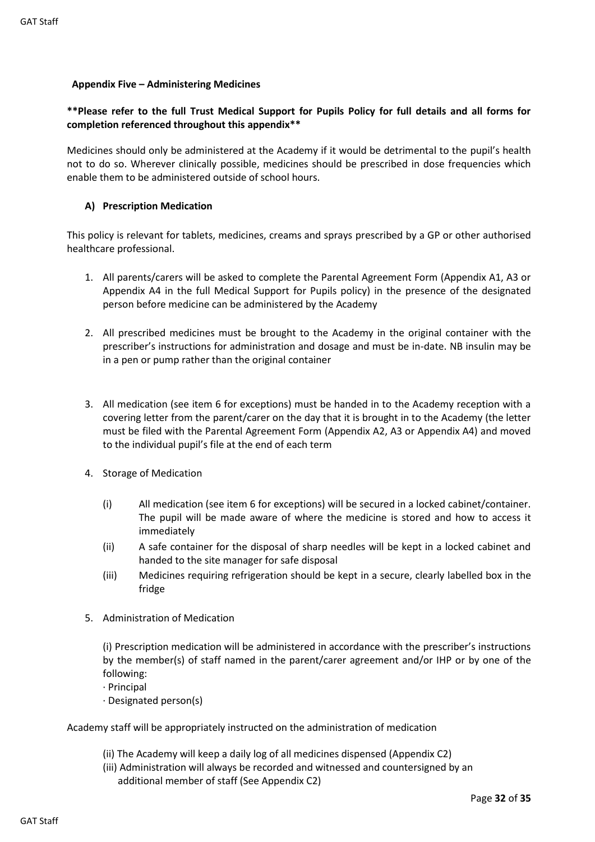#### <span id="page-32-0"></span>**Appendix Five – Administering Medicines**

#### **\*\*Please refer to the full Trust Medical Support for Pupils Policy for full details and all forms for completion referenced throughout this appendix\*\***

Medicines should only be administered at the Academy if it would be detrimental to the pupil's health not to do so. Wherever clinically possible, medicines should be prescribed in dose frequencies which enable them to be administered outside of school hours.

#### **A) Prescription Medication**

This policy is relevant for tablets, medicines, creams and sprays prescribed by a GP or other authorised healthcare professional.

- 1. All parents/carers will be asked to complete the Parental Agreement Form (Appendix A1, A3 or Appendix A4 in the full Medical Support for Pupils policy) in the presence of the designated person before medicine can be administered by the Academy
- 2. All prescribed medicines must be brought to the Academy in the original container with the prescriber's instructions for administration and dosage and must be in-date. NB insulin may be in a pen or pump rather than the original container
- 3. All medication (see item 6 for exceptions) must be handed in to the Academy reception with a covering letter from the parent/carer on the day that it is brought in to the Academy (the letter must be filed with the Parental Agreement Form (Appendix A2, A3 or Appendix A4) and moved to the individual pupil's file at the end of each term
- 4. Storage of Medication
	- (i) All medication (see item 6 for exceptions) will be secured in a locked cabinet/container. The pupil will be made aware of where the medicine is stored and how to access it immediately
	- (ii) A safe container for the disposal of sharp needles will be kept in a locked cabinet and handed to the site manager for safe disposal
	- (iii) Medicines requiring refrigeration should be kept in a secure, clearly labelled box in the fridge
- 5. Administration of Medication

(i) Prescription medication will be administered in accordance with the prescriber's instructions by the member(s) of staff named in the parent/carer agreement and/or IHP or by one of the following:

- · Principal
- · Designated person(s)

Academy staff will be appropriately instructed on the administration of medication

- (ii) The Academy will keep a daily log of all medicines dispensed (Appendix C2)
- (iii) Administration will always be recorded and witnessed and countersigned by an additional member of staff (See Appendix C2)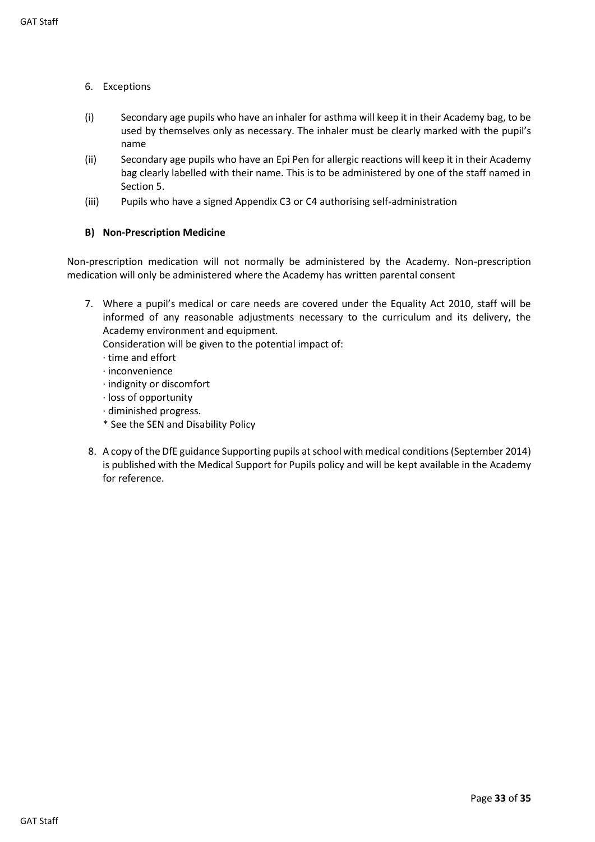- 6. Exceptions
- (i) Secondary age pupils who have an inhaler for asthma will keep it in their Academy bag, to be used by themselves only as necessary. The inhaler must be clearly marked with the pupil's name
- (ii) Secondary age pupils who have an Epi Pen for allergic reactions will keep it in their Academy bag clearly labelled with their name. This is to be administered by one of the staff named in Section 5.
- (iii) Pupils who have a signed Appendix C3 or C4 authorising self-administration

#### **B) Non-Prescription Medicine**

Non-prescription medication will not normally be administered by the Academy. Non-prescription medication will only be administered where the Academy has written parental consent

7. Where a pupil's medical or care needs are covered under the Equality Act 2010, staff will be informed of any reasonable adjustments necessary to the curriculum and its delivery, the Academy environment and equipment.

Consideration will be given to the potential impact of:

- · time and effort
- · inconvenience
- · indignity or discomfort
- · loss of opportunity
- · diminished progress.
- \* See the SEN and Disability Policy
- 8. A copy of the DfE guidance Supporting pupils at school with medical conditions (September 2014) is published with the Medical Support for Pupils policy and will be kept available in the Academy for reference.